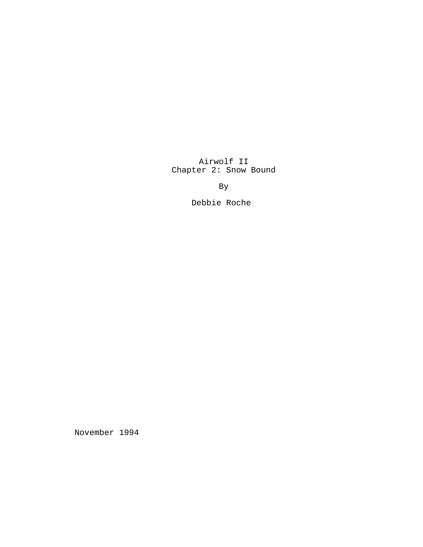Airwolf II Chapter 2: Snow Bound

By

Debbie Roche

November 1994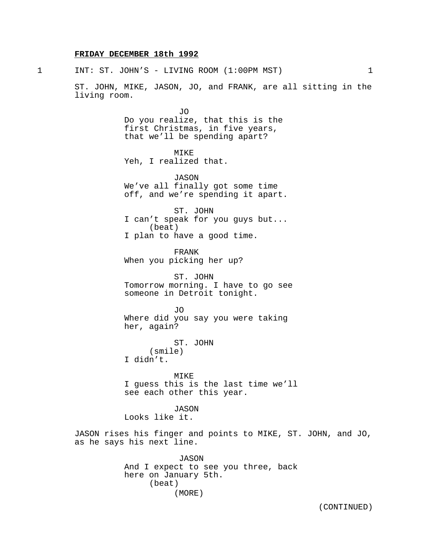# **FRIDAY DECEMBER 18th 1992**

1 INT: ST. JOHN'S - LIVING ROOM (1:00PM MST) 1

ST. JOHN, MIKE, JASON, JO, and FRANK, are all sitting in the living room.

> JO Do you realize, that this is the first Christmas, in five years, that we'll be spending apart?

MIKE Yeh, I realized that.

JASON We've all finally got some time off, and we're spending it apart.

ST. JOHN I can't speak for you guys but... (beat) I plan to have a good time.

FRANK When you picking her up?

ST. JOHN Tomorrow morning. I have to go see someone in Detroit tonight.

JO Where did you say you were taking her, again?

ST. JOHN (smile) I didn't.

MIKE I guess this is the last time we'll see each other this year.

JASON Looks like it.

JASON rises his finger and points to MIKE, ST. JOHN, and JO, as he says his next line.

> JASON And I expect to see you three, back here on January 5th. (beat) (MORE)

> > (CONTINUED)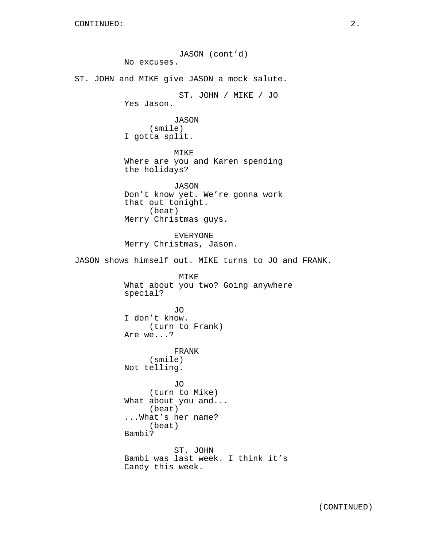JASON (cont'd) No excuses. ST. JOHN and MIKE give JASON a mock salute. ST. JOHN / MIKE / JO Yes Jason. JASON (smile) I gotta split. MIKE Where are you and Karen spending the holidays? JASON Don't know yet. We're gonna work that out tonight. (beat) Merry Christmas guys. EVERYONE Merry Christmas, Jason. JASON shows himself out. MIKE turns to JO and FRANK. MIKE What about you two? Going anywhere special? JO I don't know. (turn to Frank) Are we...? FRANK (smile) Not telling. JO (turn to Mike) What about you and... (beat) ...What's her name? (beat) Bambi? ST. JOHN Bambi was last week. I think it's Candy this week.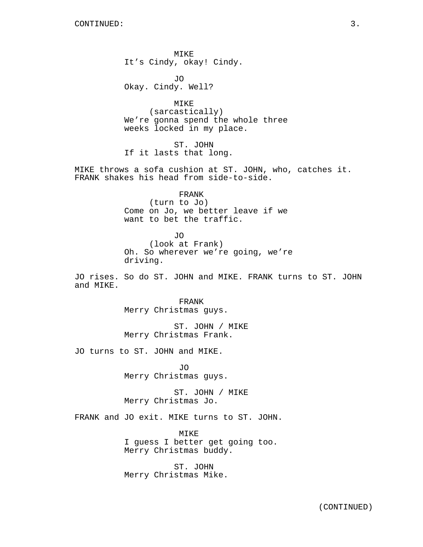MIKE It's Cindy, okay! Cindy.

JO Okay. Cindy. Well?

MIKE (sarcastically) We're gonna spend the whole three weeks locked in my place.

ST. JOHN If it lasts that long.

MIKE throws a sofa cushion at ST. JOHN, who, catches it. FRANK shakes his head from side-to-side.

> FRANK (turn to Jo) Come on Jo, we better leave if we want to bet the traffic.

JO (look at Frank) Oh. So wherever we're going, we're driving.

JO rises. So do ST. JOHN and MIKE. FRANK turns to ST. JOHN and MIKE.

> FRANK Merry Christmas guys.

ST. JOHN / MIKE Merry Christmas Frank.

JO turns to ST. JOHN and MIKE.

JO Merry Christmas guys.

ST. JOHN / MIKE Merry Christmas Jo.

FRANK and JO exit. MIKE turns to ST. JOHN.

MIKE I guess I better get going too. Merry Christmas buddy.

ST. JOHN Merry Christmas Mike.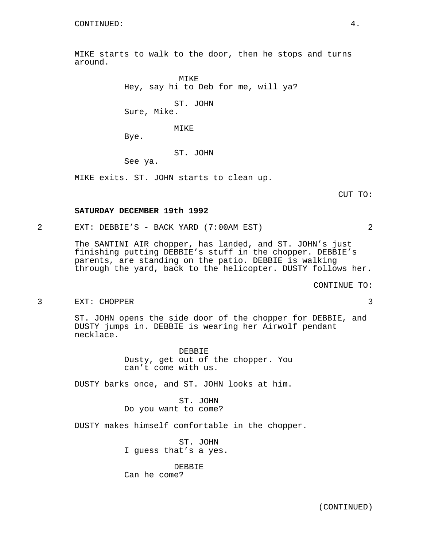MIKE starts to walk to the door, then he stops and turns around.

> MIKE Hey, say hi to Deb for me, will ya? ST. JOHN

Sure, Mike.

#### MIKE

Bye.

#### ST. JOHN

See ya.

MIKE exits. ST. JOHN starts to clean up.

CUT TO:

#### **SATURDAY DECEMBER 19th 1992**

# 2 EXT: DEBBIE'S - BACK YARD (7:00AM EST) 2

The SANTINI AIR chopper, has landed, and ST. JOHN's just finishing putting DEBBIE's stuff in the chopper. DEBBIE's parents, are standing on the patio. DEBBIE is walking through the yard, back to the helicopter. DUSTY follows her.

CONTINUE TO:

#### 3 EXT: CHOPPER 3

ST. JOHN opens the side door of the chopper for DEBBIE, and DUSTY jumps in. DEBBIE is wearing her Airwolf pendant necklace.

> DEBBIE Dusty, get out of the chopper. You can't come with us.

DUSTY barks once, and ST. JOHN looks at him.

ST. JOHN Do you want to come?

DUSTY makes himself comfortable in the chopper.

ST. JOHN I guess that's a yes.

DEBBIE Can he come?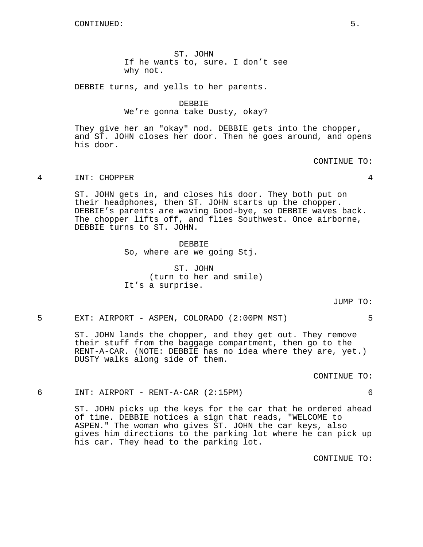ST. JOHN If he wants to, sure. I don't see why not.

DEBBIE turns, and yells to her parents.

DEBBIE We're gonna take Dusty, okay?

They give her an "okay" nod. DEBBIE gets into the chopper, and ST. JOHN closes her door. Then he goes around, and opens his door.

CONTINUE TO:

# 4 INT: CHOPPER 4

ST. JOHN gets in, and closes his door. They both put on their headphones, then ST. JOHN starts up the chopper. DEBBIE's parents are waving Good-bye, so DEBBIE waves back. The chopper lifts off, and flies Southwest. Once airborne, DEBBIE turns to ST. JOHN.

> DEBBIE So, where are we going Stj.

ST. JOHN (turn to her and smile) It's a surprise.

JUMP TO:

5 EXT: AIRPORT - ASPEN, COLORADO (2:00PM MST) 5

ST. JOHN lands the chopper, and they get out. They remove their stuff from the baggage compartment, then go to the RENT-A-CAR. (NOTE: DEBBIE has no idea where they are, yet.) DUSTY walks along side of them.

CONTINUE TO:

#### 6 INT: AIRPORT - RENT-A-CAR (2:15PM) 6

ST. JOHN picks up the keys for the car that he ordered ahead of time. DEBBIE notices a sign that reads, "WELCOME to ASPEN." The woman who gives ST. JOHN the car keys, also gives him directions to the parking lot where he can pick up his car. They head to the parking lot.

CONTINUE TO: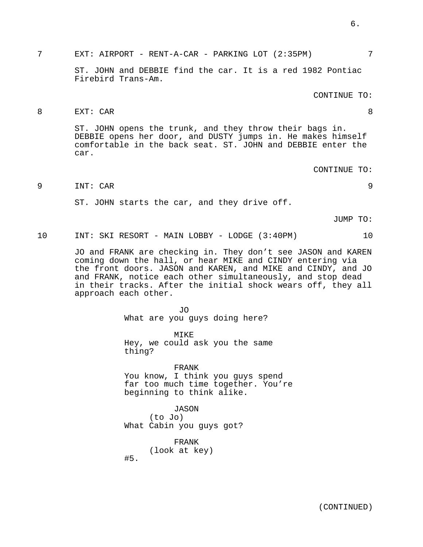7 EXT: AIRPORT - RENT-A-CAR - PARKING LOT (2:35PM) 7

ST. JOHN and DEBBIE find the car. It is a red 1982 Pontiac Firebird Trans-Am.

# CONTINUE TO:

# 8 EXT: CAR 8

ST. JOHN opens the trunk, and they throw their bags in. DEBBIE opens her door, and DUSTY jumps in. He makes himself comfortable in the back seat. ST. JOHN and DEBBIE enter the car.

CONTINUE TO:

9 INT: CAR 9

ST. JOHN starts the car, and they drive off.

JUMP TO:

10 INT: SKI RESORT - MAIN LOBBY - LODGE (3:40PM) 10

JO and FRANK are checking in. They don't see JASON and KAREN coming down the hall, or hear MIKE and CINDY entering via the front doors. JASON and KAREN, and MIKE and CINDY, and JO and FRANK, notice each other simultaneously, and stop dead in their tracks. After the initial shock wears off, they all approach each other.

> JO What are you guys doing here?

MIKE Hey, we could ask you the same thing?

FRANK You know, I think you guys spend far too much time together. You're beginning to think alike.

JASON (to Jo) What Cabin you guys got?

> FRANK (look at key)

#5.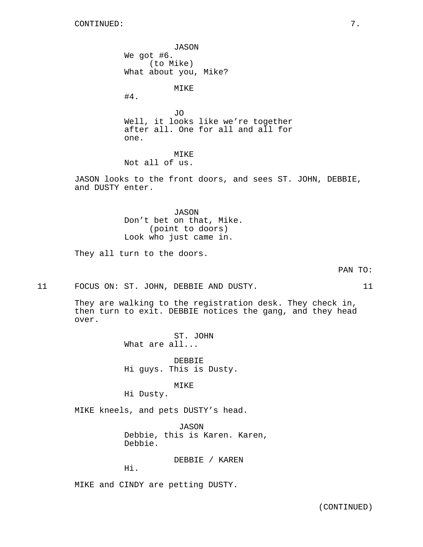JASON We got #6. (to Mike) What about you, Mike?

MIKE

#4.

JO Well, it looks like we're together after all. One for all and all for one.

MIKE Not all of us.

JASON looks to the front doors, and sees ST. JOHN, DEBBIE, and DUSTY enter.

> JASON Don't bet on that, Mike. (point to doors) Look who just came in.

They all turn to the doors.

PAN TO:

11 FOCUS ON: ST. JOHN, DEBBIE AND DUSTY. 11

They are walking to the registration desk. They check in, then turn to exit. DEBBIE notices the gang, and they head over.

> ST. JOHN What are all...

DEBBIE Hi guys. This is Dusty.

MIKE Hi Dusty.

MIKE kneels, and pets DUSTY's head.

JASON Debbie, this is Karen. Karen, Debbie.

DEBBIE / KAREN

Hi.

MIKE and CINDY are petting DUSTY.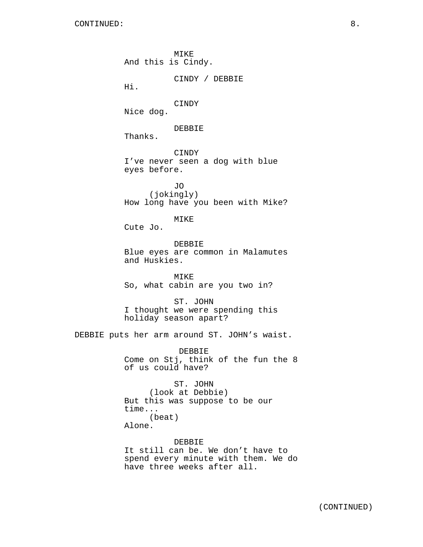MIKE And this is Cindy. CINDY / DEBBIE Hi. CINDY Nice dog. DEBBIE Thanks. CINDY I've never seen a dog with blue eyes before. JO (jokingly) How long have you been with Mike? MIKE Cute Jo. DEBBIE Blue eyes are common in Malamutes and Huskies. MIKE So, what cabin are you two in? ST. JOHN I thought we were spending this holiday season apart? DEBBIE puts her arm around ST. JOHN's waist. DEBBIE Come on Stj, think of the fun the 8 of us could have? ST. JOHN (look at Debbie) But this was suppose to be our time... (beat) Alone. DEBBIE It still can be. We don't have to spend every minute with them. We do

have three weeks after all.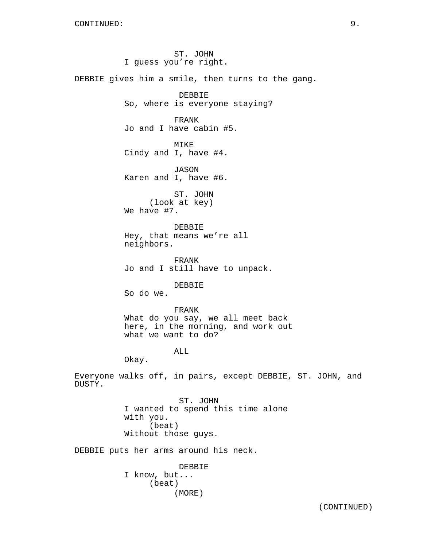ST. JOHN I guess you're right. DEBBIE gives him a smile, then turns to the gang. DEBBIE So, where is everyone staying? FRANK Jo and I have cabin #5. MIKE Cindy and I, have #4. JASON Karen and I, have #6. ST. JOHN (look at key) We have #7. DEBBIE Hey, that means we're all neighbors. FRANK Jo and I still have to unpack. DEBBIE So do we. FRANK What do you say, we all meet back here, in the morning, and work out what we want to do? ALL Okay. Everyone walks off, in pairs, except DEBBIE, ST. JOHN, and DUSTY. ST. JOHN I wanted to spend this time alone with you. (beat) Without those guys. DEBBIE puts her arms around his neck.

DEBBIE I know, but... (beat) (MORE)

(CONTINUED)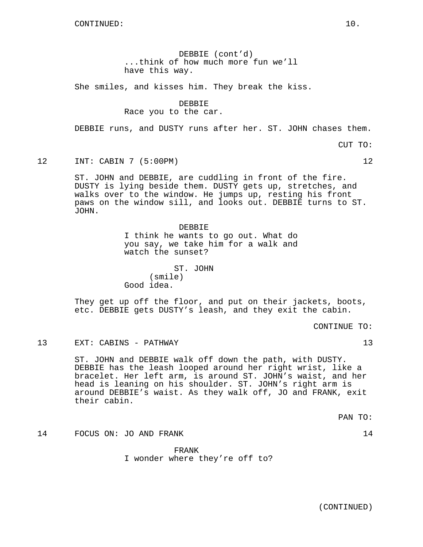DEBBIE (cont'd) ...think of how much more fun we'll have this way.

She smiles, and kisses him. They break the kiss.

DEBBIE

Race you to the car.

DEBBIE runs, and DUSTY runs after her. ST. JOHN chases them.

CUT TO:

12 INT: CABIN 7 (5:00PM) 12

ST. JOHN and DEBBIE, are cuddling in front of the fire. DUSTY is lying beside them. DUSTY gets up, stretches, and walks over to the window. He jumps up, resting his front paws on the window sill, and looks out. DEBBIE turns to ST. JOHN.

> DEBBIE I think he wants to go out. What do you say, we take him for a walk and watch the sunset?

ST. JOHN (smile) Good idea.

They get up off the floor, and put on their jackets, boots, etc. DEBBIE gets DUSTY's leash, and they exit the cabin.

CONTINUE TO:

13 EXT: CABINS - PATHWAY 13

ST. JOHN and DEBBIE walk off down the path, with DUSTY. DEBBIE has the leash looped around her right wrist, like a bracelet. Her left arm, is around ST. JOHN's waist, and her head is leaning on his shoulder. ST. JOHN's right arm is around DEBBIE's waist. As they walk off, JO and FRANK, exit their cabin.

PAN TO:

14 FOCUS ON: JO AND FRANK 14

FRANK I wonder where they're off to?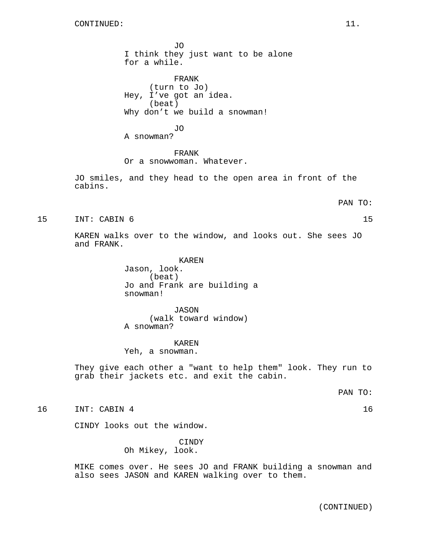JO I think they just want to be alone for a while.

FRANK (turn to Jo) Hey, I've got an idea. (beat) Why don't we build a snowman!

JO

A snowman?

FRANK Or a snowwoman. Whatever.

JO smiles, and they head to the open area in front of the cabins.

#### PAN TO:

15 INT: CABIN 6 15

KAREN walks over to the window, and looks out. She sees JO and FRANK.

> KAREN Jason, look. (beat) Jo and Frank are building a snowman!

JASON (walk toward window) A snowman?

KAREN Yeh, a snowman.

They give each other a "want to help them" look. They run to grab their jackets etc. and exit the cabin.

PAN TO:

16 INT: CABIN 4 16

CINDY looks out the window.

CINDY Oh Mikey, look.

MIKE comes over. He sees JO and FRANK building a snowman and also sees JASON and KAREN walking over to them.

(CONTINUED)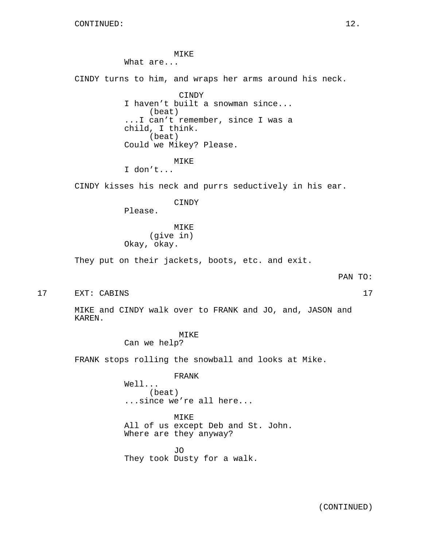MIKE

What are...

CINDY turns to him, and wraps her arms around his neck.

CINDY I haven't built a snowman since... (beat) ...I can't remember, since I was a child, I think. (beat) Could we Mikey? Please.

MIKE

I don't...

CINDY kisses his neck and purrs seductively in his ear.

CINDY

Please.

MIKE (give in) Okay, okay.

They put on their jackets, boots, etc. and exit.

PAN TO:

17 EXT: CABINS 17

MIKE and CINDY walk over to FRANK and JO, and, JASON and KAREN.

MIKE

Can we help?

FRANK stops rolling the snowball and looks at Mike.

FRANK

Well... (beat) ...since we're all here...

MIKE All of us except Deb and St. John. Where are they anyway?

JO They took Dusty for a walk.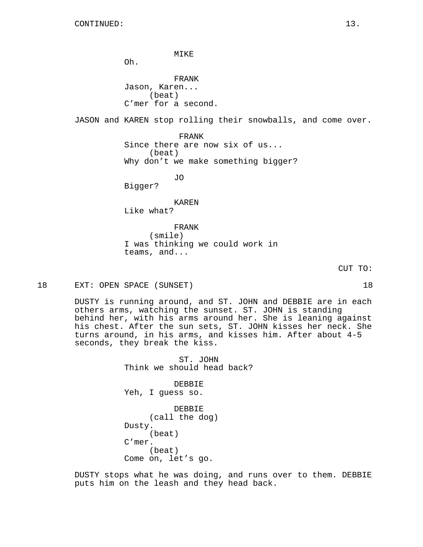MIKE Oh. FRANK Jason, Karen... (beat) C'mer for a second. JASON and KAREN stop rolling their snowballs, and come over. FRANK Since there are now six of us... (beat) Why don't we make something bigger? JO Bigger? KAREN Like what? FRANK (smile) I was thinking we could work in teams, and...

CUT TO:

18 EXT: OPEN SPACE (SUNSET) 18

DUSTY is running around, and ST. JOHN and DEBBIE are in each others arms, watching the sunset. ST. JOHN is standing behind her, with his arms around her. She is leaning against his chest. After the sun sets, ST. JOHN kisses her neck. She turns around, in his arms, and kisses him. After about 4-5 seconds, they break the kiss.

> ST. JOHN Think we should head back? DEBBIE Yeh, I guess so. DEBBIE (call the dog) Dusty.

(beat) C'mer. (beat) Come on, let's go.

DUSTY stops what he was doing, and runs over to them. DEBBIE puts him on the leash and they head back.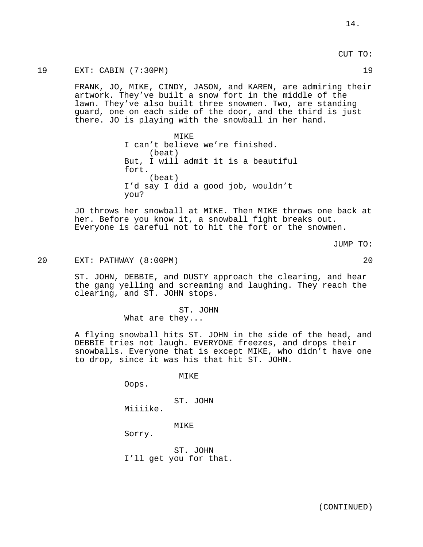19 EXT: CABIN (7:30PM) 19

FRANK, JO, MIKE, CINDY, JASON, and KAREN, are admiring their artwork. They've built a snow fort in the middle of the lawn. They've also built three snowmen. Two, are standing guard, one on each side of the door, and the third is just there. JO is playing with the snowball in her hand.

> MIKE I can't believe we're finished. (beat) But, I will admit it is a beautiful fort. (beat) I'd say I did a good job, wouldn't you?

JO throws her snowball at MIKE. Then MIKE throws one back at her. Before you know it, a snowball fight breaks out. Everyone is careful not to hit the fort or the snowmen.

JUMP TO:

20 EXT: PATHWAY (8:00PM) 20

ST. JOHN, DEBBIE, and DUSTY approach the clearing, and hear the gang yelling and screaming and laughing. They reach the clearing, and ST. JOHN stops.

> ST. JOHN What are they...

A flying snowball hits ST. JOHN in the side of the head, and DEBBIE tries not laugh. EVERYONE freezes, and drops their snowballs. Everyone that is except MIKE, who didn't have one to drop, since it was his that hit ST. JOHN.

MIKE

Oops.

ST. JOHN Miiiike.

MIKE

Sorry.

ST. JOHN I'll get you for that.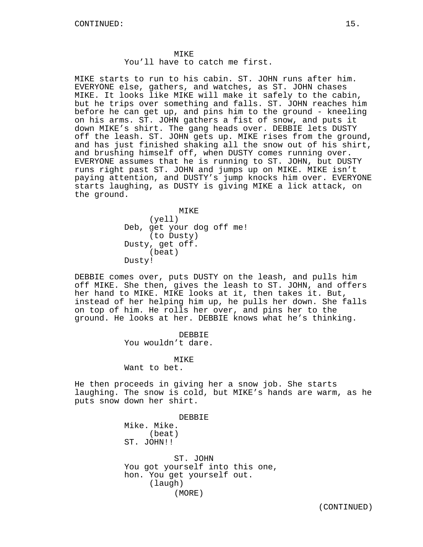MIKE starts to run to his cabin. ST. JOHN runs after him. EVERYONE else, gathers, and watches, as ST. JOHN chases MIKE. It looks like MIKE will make it safely to the cabin, but he trips over something and falls. ST. JOHN reaches him before he can get up, and pins him to the ground - kneeling on his arms. ST. JOHN gathers a fist of snow, and puts it down MIKE's shirt. The gang heads over. DEBBIE lets DUSTY off the leash. ST. JOHN gets up. MIKE rises from the ground, and has just finished shaking all the snow out of his shirt, and brushing himself off, when DUSTY comes running over. EVERYONE assumes that he is running to ST. JOHN, but DUSTY runs right past ST. JOHN and jumps up on MIKE. MIKE isn't paying attention, and DUSTY's jump knocks him over. EVERYONE starts laughing, as DUSTY is giving MIKE a lick attack, on the ground.

> MIKE (yell) Deb, get your dog off me! (to Dusty) Dusty, get off. (beat) Dusty!

DEBBIE comes over, puts DUSTY on the leash, and pulls him off MIKE. She then, gives the leash to ST. JOHN, and offers her hand to MIKE. MIKE looks at it, then takes it. But, instead of her helping him up, he pulls her down. She falls on top of him. He rolls her over, and pins her to the ground. He looks at her. DEBBIE knows what he's thinking.

> DEBBIE You wouldn't dare.

**MTKE** Want to bet.

He then proceeds in giving her a snow job. She starts laughing. The snow is cold, but MIKE's hands are warm, as he puts snow down her shirt.

> DEBBIE Mike. Mike. (beat) ST. JOHN!! ST. JOHN You got yourself into this one, hon. You get yourself out. (laugh) (MORE)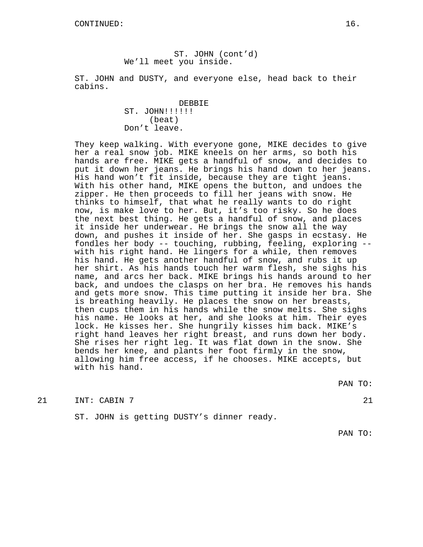ST. JOHN (cont'd) We'll meet you inside.

ST. JOHN and DUSTY, and everyone else, head back to their cabins.

> DEBBIE ST. JOHN!!!!!! (beat) Don't leave.

They keep walking. With everyone gone, MIKE decides to give her a real snow job. MIKE kneels on her arms, so both his hands are free. MIKE gets a handful of snow, and decides to put it down her jeans. He brings his hand down to her jeans. His hand won't fit inside, because they are tight jeans. With his other hand, MIKE opens the button, and undoes the zipper. He then proceeds to fill her jeans with snow. He thinks to himself, that what he really wants to do right now, is make love to her. But, it's too risky. So he does the next best thing. He gets a handful of snow, and places it inside her underwear. He brings the snow all the way down, and pushes it inside of her. She gasps in ecstasy. He fondles her body -- touching, rubbing, feeling, exploring - with his right hand. He lingers for a while, then removes his hand. He gets another handful of snow, and rubs it up her shirt. As his hands touch her warm flesh, she sighs his name, and arcs her back. MIKE brings his hands around to her back, and undoes the clasps on her bra. He removes his hands and gets more snow. This time putting it inside her bra. She is breathing heavily. He places the snow on her breasts, then cups them in his hands while the snow melts. She sighs his name. He looks at her, and she looks at him. Their eyes lock. He kisses her. She hungrily kisses him back. MIKE's right hand leaves her right breast, and runs down her body. She rises her right leg. It was flat down in the snow. She bends her knee, and plants her foot firmly in the snow, allowing him free access, if he chooses. MIKE accepts, but with his hand.

PAN TO:

21 INT: CABIN 7 21

ST. JOHN is getting DUSTY's dinner ready.

PAN TO: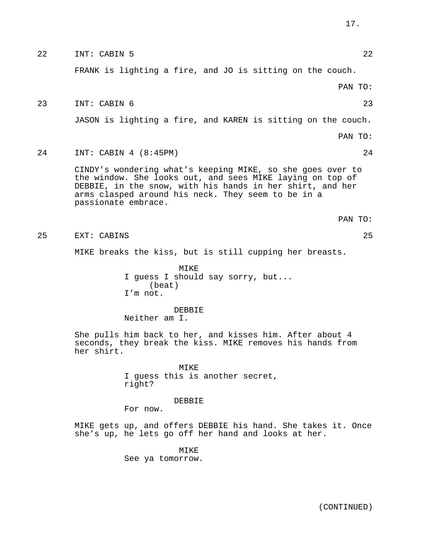|    | FRANK is lighting a fire, and JO is sitting on the couch.                                                                                                                                                                                                         |
|----|-------------------------------------------------------------------------------------------------------------------------------------------------------------------------------------------------------------------------------------------------------------------|
|    | PAN TO:                                                                                                                                                                                                                                                           |
| 23 | INT: CABIN 6<br>23                                                                                                                                                                                                                                                |
|    | JASON is lighting a fire, and KAREN is sitting on the couch.                                                                                                                                                                                                      |
|    | PAN TO:                                                                                                                                                                                                                                                           |
| 24 | INT: CABIN 4 (8:45PM)<br>24                                                                                                                                                                                                                                       |
|    | CINDY's wondering what's keeping MIKE, so she goes over to<br>the window. She looks out, and sees MIKE laying on top of<br>DEBBIE, in the snow, with his hands in her shirt, and her<br>arms clasped around his neck. They seem to be in a<br>passionate embrace. |
|    | PAN TO:                                                                                                                                                                                                                                                           |
| 25 | 25<br>EXT: CABINS                                                                                                                                                                                                                                                 |
|    | MIKE breaks the kiss, but is still cupping her breasts.                                                                                                                                                                                                           |
|    | MIKE<br>I guess I should say sorry, but<br>(beat)<br>I'm not.                                                                                                                                                                                                     |
|    | DEBBIE<br>Neither am I.                                                                                                                                                                                                                                           |
|    | She pulls him back to her, and kisses him. After about 4<br>seconds, they break the kiss. MIKE removes his hands from<br>her shirt.                                                                                                                               |
|    | MIKE<br>I guess this is another secret,<br>right?                                                                                                                                                                                                                 |
|    | DEBBIE                                                                                                                                                                                                                                                            |

22 INT: CABIN 5 22

For now.

MIKE gets up, and offers DEBBIE his hand. She takes it. Once she's up, he lets go off her hand and looks at her.

> MIKE See ya tomorrow.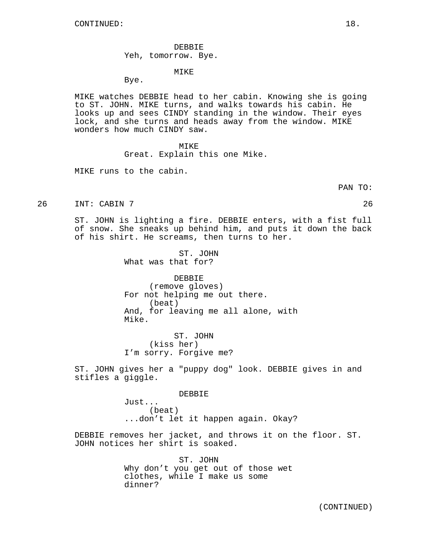DEBBIE Yeh, tomorrow. Bye.

#### MIKE

Bye.

MIKE watches DEBBIE head to her cabin. Knowing she is going to ST. JOHN. MIKE turns, and walks towards his cabin. He looks up and sees CINDY standing in the window. Their eyes lock, and she turns and heads away from the window. MIKE wonders how much CINDY saw.

#### MTK<sub>E</sub>

Great. Explain this one Mike.

MIKE runs to the cabin.

PAN TO:

26 INT: CABIN 7 26

ST. JOHN is lighting a fire. DEBBIE enters, with a fist full of snow. She sneaks up behind him, and puts it down the back of his shirt. He screams, then turns to her.

> ST. JOHN What was that for?

DEBBIE (remove gloves) For not helping me out there. (beat) And, for leaving me all alone, with Mike.

ST. JOHN (kiss her) I'm sorry. Forgive me?

ST. JOHN gives her a "puppy dog" look. DEBBIE gives in and stifles a giggle.

DEBBIE

Just... (beat) ...don't let it happen again. Okay?

DEBBIE removes her jacket, and throws it on the floor. ST. JOHN notices her shirt is soaked.

> ST. JOHN Why don't you get out of those wet clothes, while I make us some dinner?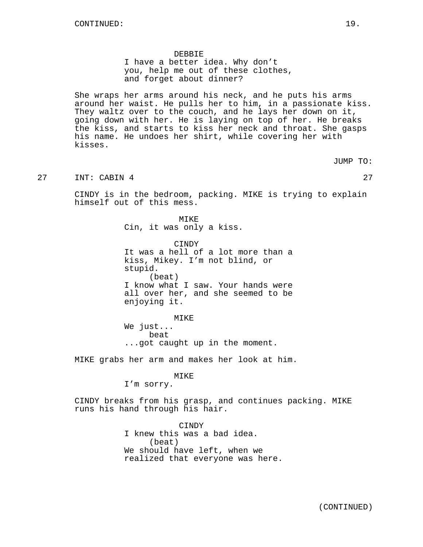#### DEBBIE

I have a better idea. Why don't you, help me out of these clothes, and forget about dinner?

She wraps her arms around his neck, and he puts his arms around her waist. He pulls her to him, in a passionate kiss. They waltz over to the couch, and he lays her down on it, going down with her. He is laying on top of her. He breaks the kiss, and starts to kiss her neck and throat. She gasps his name. He undoes her shirt, while covering her with kisses.

JUMP TO:

27 INT: CABIN 4 27 27

CINDY is in the bedroom, packing. MIKE is trying to explain himself out of this mess.

> MIKE Cin, it was only a kiss.

CINDY It was a hell of a lot more than a kiss, Mikey. I'm not blind, or stupid. (beat) I know what I saw. Your hands were all over her, and she seemed to be enjoying it.

MIKE We just... beat ...got caught up in the moment.

MIKE grabs her arm and makes her look at him.

# MIKE

I'm sorry.

CINDY breaks from his grasp, and continues packing. MIKE runs his hand through his hair.

> CINDY I knew this was a bad idea. (beat) We should have left, when we realized that everyone was here.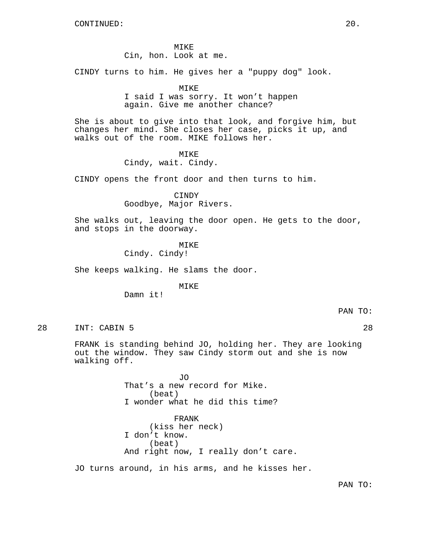MIKE Cin, hon. Look at me.

CINDY turns to him. He gives her a "puppy dog" look.

MIKE

I said I was sorry. It won't happen again. Give me another chance?

She is about to give into that look, and forgive him, but changes her mind. She closes her case, picks it up, and walks out of the room. MIKE follows her.

MIKE

Cindy, wait. Cindy.

CINDY opens the front door and then turns to him.

**CINDY** Goodbye, Major Rivers.

She walks out, leaving the door open. He gets to the door, and stops in the doorway.

MIKE

Cindy. Cindy!

She keeps walking. He slams the door.

MTKE<sup>®</sup>

Damn it!

PAN TO:

28 INT: CABIN 5 28

FRANK is standing behind JO, holding her. They are looking out the window. They saw Cindy storm out and she is now walking off.

> JO That's a new record for Mike. (beat) I wonder what he did this time?

FRANK (kiss her neck) I don't know. (beat) And right now, I really don't care.

JO turns around, in his arms, and he kisses her.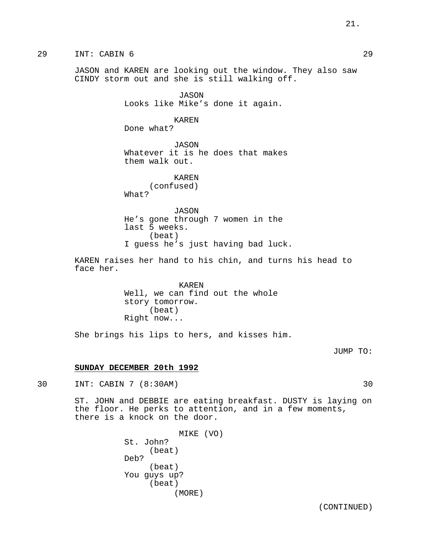29 INT: CABIN 6 29

JASON and KAREN are looking out the window. They also saw CINDY storm out and she is still walking off.

> JASON Looks like Mike's done it again.

KAREN Done what?

JASON Whatever it is he does that makes them walk out.

> KAREN (confused)

What?

JASON He's gone through 7 women in the last 5 weeks. (beat) I guess he's just having bad luck.

KAREN raises her hand to his chin, and turns his head to face her.

> KAREN Well, we can find out the whole story tomorrow. (beat) Right now...

She brings his lips to hers, and kisses him.

JUMP TO:

# **SUNDAY DECEMBER 20th 1992**

30 INT: CABIN 7 (8:30AM) 30

ST. JOHN and DEBBIE are eating breakfast. DUSTY is laying on the floor. He perks to attention, and in a few moments, there is a knock on the door.

> MIKE (VO) St. John? (beat) Deb? (beat) You guys up? (beat) (MORE)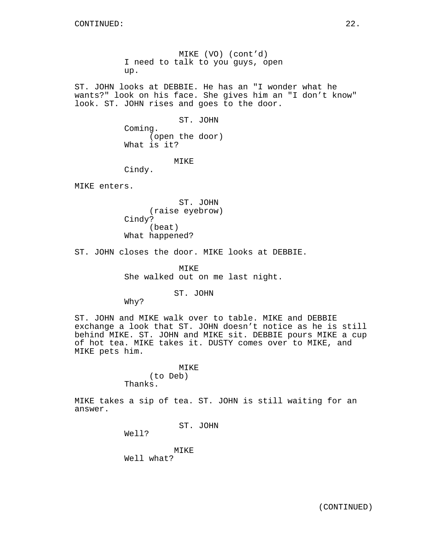MIKE (VO) (cont'd) I need to talk to you guys, open up.

ST. JOHN looks at DEBBIE. He has an "I wonder what he wants?" look on his face. She gives him an "I don't know" look. ST. JOHN rises and goes to the door.

> ST. JOHN Coming. (open the door) What is it?

### MIKE

Cindy.

MIKE enters.

ST. JOHN (raise eyebrow) Cindy? (beat) What happened?

ST. JOHN closes the door. MIKE looks at DEBBIE.

MIKE She walked out on me last night.

ST. JOHN

Why?

ST. JOHN and MIKE walk over to table. MIKE and DEBBIE exchange a look that ST. JOHN doesn't notice as he is still behind MIKE. ST. JOHN and MIKE sit. DEBBIE pours MIKE a cup of hot tea. MIKE takes it. DUSTY comes over to MIKE, and MIKE pets him.

# MIKE

(to Deb) Thanks.

MIKE takes a sip of tea. ST. JOHN is still waiting for an answer.

ST. JOHN

Well?

MIKE Well what?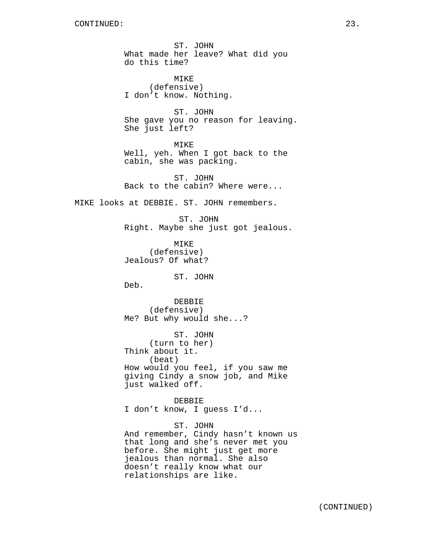ST. JOHN What made her leave? What did you do this time?

MTKE<sup>®</sup> (defensive) I don't know. Nothing.

ST. JOHN She gave you no reason for leaving. She just left?

MIKE Well, yeh. When I got back to the cabin, she was packing.

ST. JOHN Back to the cabin? Where were...

MIKE looks at DEBBIE. ST. JOHN remembers.

ST. JOHN Right. Maybe she just got jealous.

MIKE (defensive) Jealous? Of what?

ST. JOHN

Deb.

DEBBIE (defensive) Me? But why would she...?

ST. JOHN (turn to her) Think about it. (beat) How would you feel, if you saw me giving Cindy a snow job, and Mike just walked off.

DEBBIE I don't know, I guess I'd...

ST. JOHN And remember, Cindy hasn't known us that long and she's never met you before. She might just get more jealous than normal. She also doesn't really know what our relationships are like.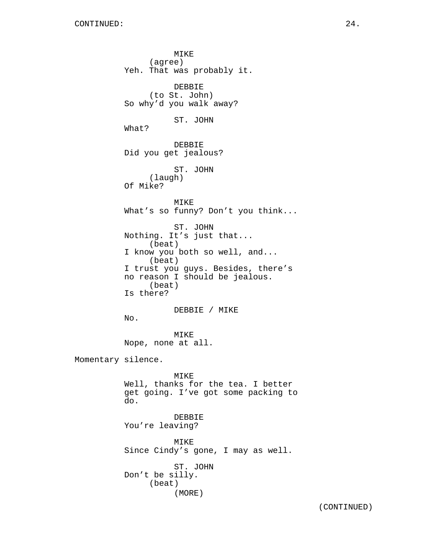MIKE (agree) Yeh. That was probably it. DEBBIE (to St. John) So why'd you walk away? ST. JOHN What? DEBBIE Did you get jealous? ST. JOHN (laugh) Of Mike? MIKE What's so funny? Don't you think... ST. JOHN Nothing. It's just that... (beat) I know you both so well, and... (beat) I trust you guys. Besides, there's no reason I should be jealous. (beat) Is there? DEBBIE / MIKE No. MIKE Nope, none at all. Momentary silence. MIKE Well, thanks for the tea. I better get going. I've got some packing to do. DEBBIE You're leaving? MIKE Since Cindy's gone, I may as well. ST. JOHN Don't be silly. (beat) (MORE)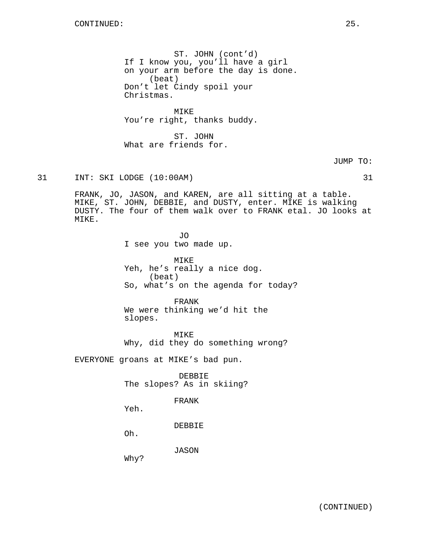ST. JOHN (cont'd) If I know you, you'll have a girl on your arm before the day is done. (beat) Don't let Cindy spoil your Christmas.

MIKE You're right, thanks buddy.

ST. JOHN What are friends for.

JUMP TO:

# 31 INT: SKI LODGE (10:00AM) 31

FRANK, JO, JASON, and KAREN, are all sitting at a table. MIKE, ST. JOHN, DEBBIE, and DUSTY, enter. MIKE is walking DUSTY. The four of them walk over to FRANK etal. JO looks at MIKE.

> JO I see you two made up.

MIKE Yeh, he's really a nice dog. (beat) So, what's on the agenda for today?

FRANK We were thinking we'd hit the slopes.

MIKE Why, did they do something wrong?

EVERYONE groans at MIKE's bad pun.

DEBBIE The slopes? As in skiing?

# FRANK

Yeh.

DEBBIE

Oh.

JASON

Why?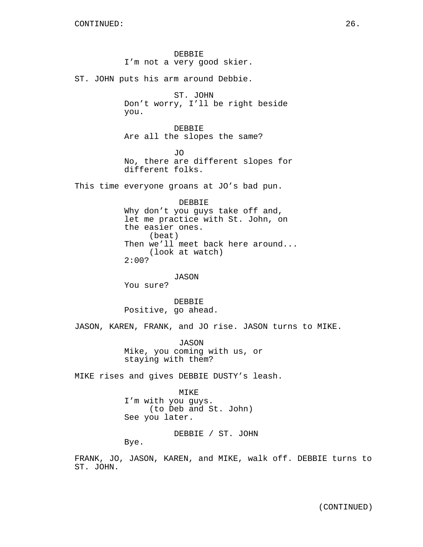DEBBIE I'm not a very good skier. ST. JOHN puts his arm around Debbie. ST. JOHN Don't worry, I'll be right beside you. DEBBIE Are all the slopes the same? JO No, there are different slopes for different folks. This time everyone groans at JO's bad pun. DEBBIE Why don't you guys take off and, let me practice with St. John, on the easier ones. (beat) Then we'll meet back here around... (look at watch) 2:00? JASON You sure? DEBBIE Positive, go ahead. JASON, KAREN, FRANK, and JO rise. JASON turns to MIKE. JASON Mike, you coming with us, or staying with them? MIKE rises and gives DEBBIE DUSTY's leash. MIKE I'm with you guys. (to Deb and St. John) See you later. DEBBIE / ST. JOHN Bye.

FRANK, JO, JASON, KAREN, and MIKE, walk off. DEBBIE turns to ST. JOHN.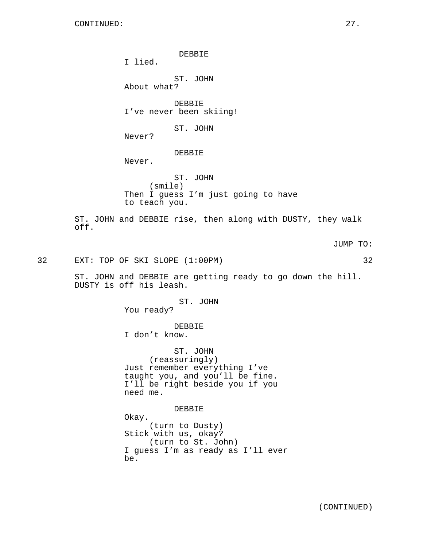DEBBIE

I lied.

ST. JOHN About what?

DEBBIE I've never been skiing!

ST. JOHN

Never?

# DEBBIE

Never.

ST. JOHN (smile) Then I guess I'm just going to have to teach you.

ST. JOHN and DEBBIE rise, then along with DUSTY, they walk off.

JUMP TO:

32 EXT: TOP OF SKI SLOPE (1:00PM) 32

ST. JOHN and DEBBIE are getting ready to go down the hill. DUSTY is off his leash.

> ST. JOHN You ready?

> > DEBBIE

I don't know.

ST. JOHN (reassuringly) Just remember everything I've taught you, and you'll be fine. I'll be right beside you if you need me.

DEBBIE

Okay. (turn to Dusty) Stick with us, okay? (turn to St. John) I guess I'm as ready as I'll ever be.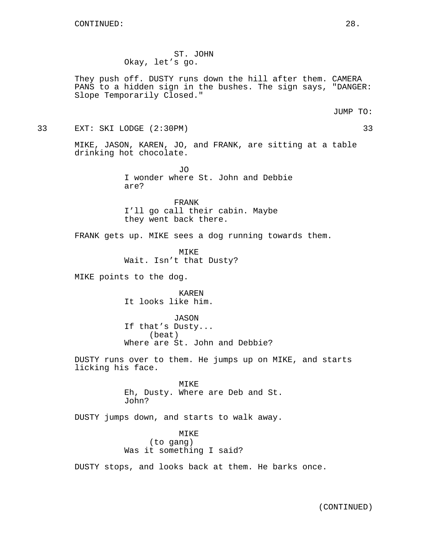ST. JOHN Okay, let's go.

They push off. DUSTY runs down the hill after them. CAMERA PANS to a hidden sign in the bushes. The sign says, "DANGER: Slope Temporarily Closed."

JUMP TO:

33 EXT: SKI LODGE (2:30PM) 33

MIKE, JASON, KAREN, JO, and FRANK, are sitting at a table drinking hot chocolate.

> OT. I wonder where St. John and Debbie are?

FRANK I'll go call their cabin. Maybe they went back there.

FRANK gets up. MIKE sees a dog running towards them.

MIKE Wait. Isn't that Dusty?

MIKE points to the dog.

KAREN It looks like him.

JASON If that's Dusty... (beat) Where are St. John and Debbie?

DUSTY runs over to them. He jumps up on MIKE, and starts licking his face.

> MIKE Eh, Dusty. Where are Deb and St. John?

DUSTY jumps down, and starts to walk away.

MIKE (to gang) Was it something I said?

DUSTY stops, and looks back at them. He barks once.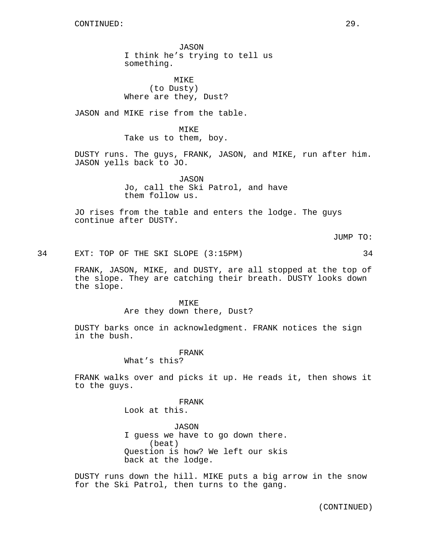JASON I think he's trying to tell us something.

MIKE (to Dusty) Where are they, Dust?

JASON and MIKE rise from the table.

MIKE Take us to them, boy.

DUSTY runs. The guys, FRANK, JASON, and MIKE, run after him. JASON yells back to JO.

> JASON Jo, call the Ski Patrol, and have them follow us.

JO rises from the table and enters the lodge. The guys continue after DUSTY.

JUMP TO:

34 EXT: TOP OF THE SKI SLOPE (3:15PM) 34

FRANK, JASON, MIKE, and DUSTY, are all stopped at the top of the slope. They are catching their breath. DUSTY looks down the slope.

> MIKE Are they down there, Dust?

DUSTY barks once in acknowledgment. FRANK notices the sign in the bush.

FRANK

What's this?

FRANK walks over and picks it up. He reads it, then shows it to the guys.

FRANK

Look at this.

JASON I guess we have to go down there. (beat) Question is how? We left our skis back at the lodge.

DUSTY runs down the hill. MIKE puts a big arrow in the snow for the Ski Patrol, then turns to the gang.

(CONTINUED)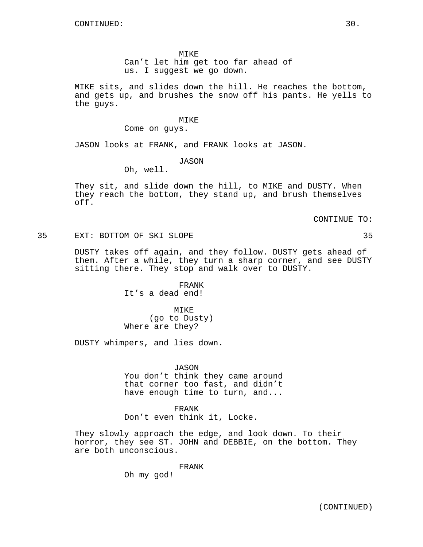MIKE

Can't let him get too far ahead of us. I suggest we go down.

MIKE sits, and slides down the hill. He reaches the bottom, and gets up, and brushes the snow off his pants. He yells to the guys.

#### MIKE

Come on guys.

JASON looks at FRANK, and FRANK looks at JASON.

#### JASON

Oh, well.

They sit, and slide down the hill, to MIKE and DUSTY. When they reach the bottom, they stand up, and brush themselves off.

CONTINUE TO:

35 EXT: BOTTOM OF SKI SLOPE 35

DUSTY takes off again, and they follow. DUSTY gets ahead of them. After a while, they turn a sharp corner, and see DUSTY sitting there. They stop and walk over to DUSTY.

> FRANK It's a dead end!

MIKE (go to Dusty) Where are they?

DUSTY whimpers, and lies down.

JASON You don't think they came around that corner too fast, and didn't have enough time to turn, and...

FRANK Don't even think it, Locke.

They slowly approach the edge, and look down. To their horror, they see ST. JOHN and DEBBIE, on the bottom. They are both unconscious.

FRANK

Oh my god!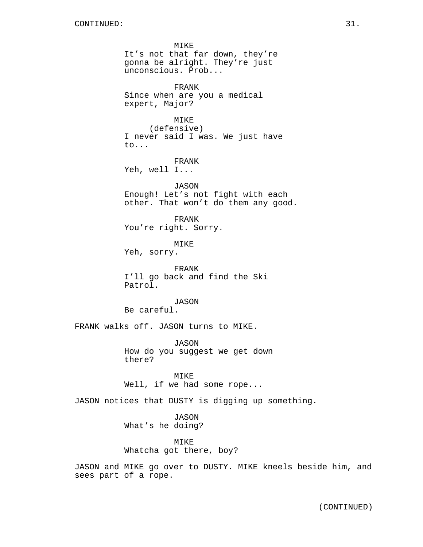MIKE It's not that far down, they're gonna be alright. They're just unconscious. Prob... FRANK Since when are you a medical expert, Major? MIKE (defensive) I never said I was. We just have to... FRANK Yeh, well I... JASON Enough! Let's not fight with each other. That won't do them any good. FRANK You're right. Sorry. MIKE Yeh, sorry. FRANK I'll go back and find the Ski Patrol. JASON Be careful. FRANK walks off. JASON turns to MIKE. JASON How do you suggest we get down there? MIKE Well, if we had some rope... JASON notices that DUSTY is digging up something.

> JASON What's he doing?

MIKE Whatcha got there, boy?

JASON and MIKE go over to DUSTY. MIKE kneels beside him, and sees part of a rope.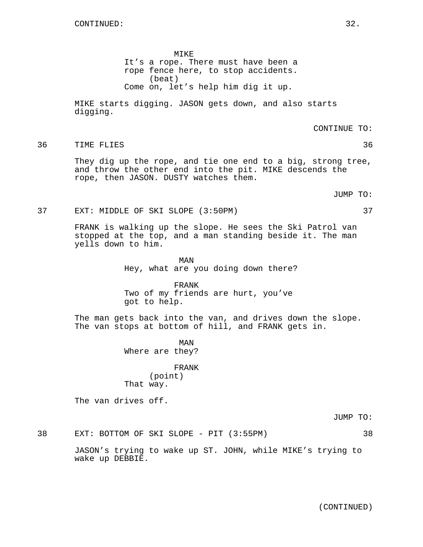MIKE It's a rope. There must have been a rope fence here, to stop accidents. (beat) Come on, let's help him dig it up.

MIKE starts digging. JASON gets down, and also starts digging.

CONTINUE TO:

36 TIME FLIES 36

They dig up the rope, and tie one end to a big, strong tree, and throw the other end into the pit. MIKE descends the rope, then JASON. DUSTY watches them.

JUMP TO:

#### 37 EXT: MIDDLE OF SKI SLOPE (3:50PM) 37

FRANK is walking up the slope. He sees the Ski Patrol van stopped at the top, and a man standing beside it. The man yells down to him.

> MAN Hey, what are you doing down there?

FRANK Two of my friends are hurt, you've got to help.

The man gets back into the van, and drives down the slope. The van stops at bottom of hill, and FRANK gets in.

> MAN Where are they?

# FRANK (point) That way.

The van drives off.

JUMP TO:

38 EXT: BOTTOM OF SKI SLOPE - PIT (3:55PM) 38

JASON's trying to wake up ST. JOHN, while MIKE's trying to wake up DEBBIE.

# (CONTINUED)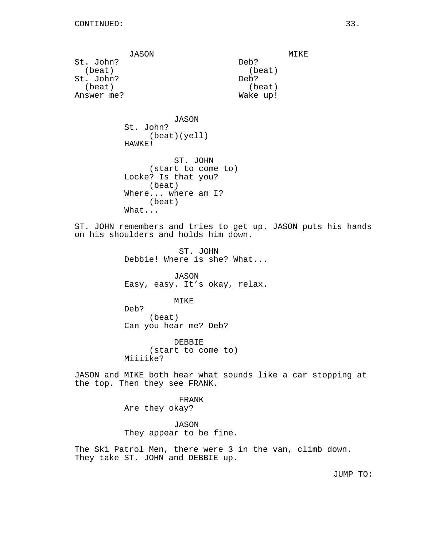JASON St. John? (beat) St. John? (beat) Answer me?

MIKE Deb? (beat) Deb? (beat) Wake up!

JASON St. John? (beat)(yell) HAWKE!

ST. JOHN (start to come to) Locke? Is that you? (beat) Where... where am I? (beat) What...

ST. JOHN remembers and tries to get up. JASON puts his hands on his shoulders and holds him down.

> ST. JOHN Debbie! Where is she? What...

> JASON Easy, easy. It's okay, relax.

> > MIKE

Deb? (beat) Can you hear me? Deb?

DEBBIE (start to come to) Miiiike?

JASON and MIKE both hear what sounds like a car stopping at the top. Then they see FRANK.

> FRANK Are they okay?

JASON They appear to be fine.

The Ski Patrol Men, there were 3 in the van, climb down. They take ST. JOHN and DEBBIE up.

JUMP TO: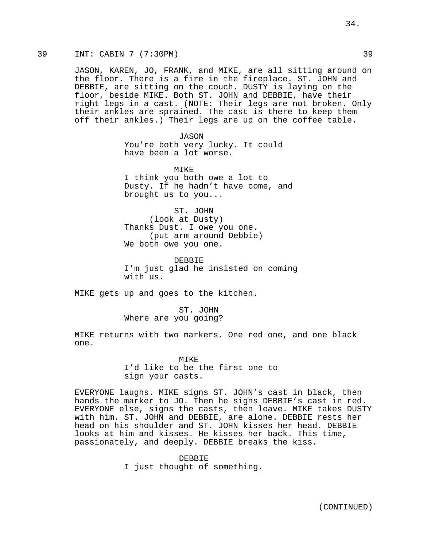# 39 INT: CABIN 7 (7:30PM) 39

JASON, KAREN, JO, FRANK, and MIKE, are all sitting around on the floor. There is a fire in the fireplace. ST. JOHN and DEBBIE, are sitting on the couch. DUSTY is laying on the floor, beside MIKE. Both ST. JOHN and DEBBIE, have their right legs in a cast. (NOTE: Their legs are not broken. Only their ankles are sprained. The cast is there to keep them off their ankles.) Their legs are up on the coffee table.

> JASON You're both very lucky. It could have been a lot worse.

MTK<sub>E</sub> I think you both owe a lot to Dusty. If he hadn't have come, and brought us to you...

ST. JOHN (look at Dusty) Thanks Dust. I owe you one. (put arm around Debbie) We both owe you one.

DEBBIE I'm just glad he insisted on coming with us.

MIKE gets up and goes to the kitchen.

ST. JOHN Where are you going?

MIKE returns with two markers. One red one, and one black one.

> MTK<sub>E</sub> I'd like to be the first one to sign your casts.

EVERYONE laughs. MIKE signs ST. JOHN's cast in black, then hands the marker to JO. Then he signs DEBBIE's cast in red. EVERYONE else, signs the casts, then leave. MIKE takes DUSTY with him. ST. JOHN and DEBBIE, are alone. DEBBIE rests her head on his shoulder and ST. JOHN kisses her head. DEBBIE looks at him and kisses. He kisses her back. This time, passionately, and deeply. DEBBIE breaks the kiss.

> DEBBIE I just thought of something.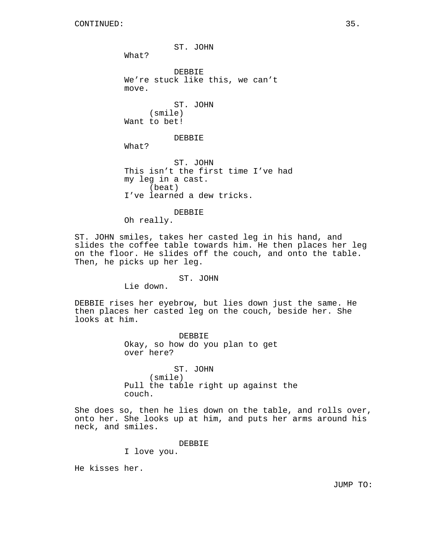ST. JOHN What? DEBBIE We're stuck like this, we can't move. ST. JOHN (smile) Want to bet! DEBBIE What? ST. JOHN This isn't the first time I've had my leg in a cast. (beat) I've learned a dew tricks. DEBBIE Oh really.

ST. JOHN smiles, takes her casted leg in his hand, and slides the coffee table towards him. He then places her leg on the floor. He slides off the couch, and onto the table. Then, he picks up her leg.

#### ST. JOHN

Lie down.

DEBBIE rises her eyebrow, but lies down just the same. He then places her casted leg on the couch, beside her. She looks at him.

> DEBBIE Okay, so how do you plan to get over here?

ST. JOHN (smile) Pull the table right up against the couch.

She does so, then he lies down on the table, and rolls over, onto her. She looks up at him, and puts her arms around his neck, and smiles.

DEBBIE

I love you.

He kisses her.

JUMP TO: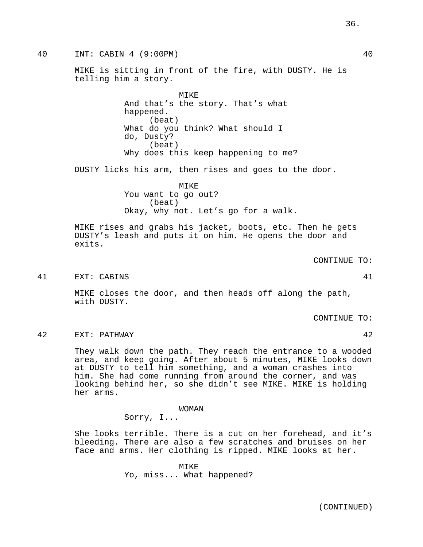40 INT: CABIN 4 (9:00PM) 40

MIKE is sitting in front of the fire, with DUSTY. He is telling him a story.

> MIKE And that's the story. That's what happened. (beat) What do you think? What should I do, Dusty? (beat) Why does this keep happening to me?

DUSTY licks his arm, then rises and goes to the door.

MIKE You want to go out? (beat) Okay, why not. Let's go for a walk.

MIKE rises and grabs his jacket, boots, etc. Then he gets DUSTY's leash and puts it on him. He opens the door and exits.

41 EXT: CABINS 41

MIKE closes the door, and then heads off along the path, with DUSTY.

CONTINUE TO:

CONTINUE TO:

42 EXT: PATHWAY 42

They walk down the path. They reach the entrance to a wooded area, and keep going. After about 5 minutes, MIKE looks down at DUSTY to tell him something, and a woman crashes into him. She had come running from around the corner, and was looking behind her, so she didn't see MIKE. MIKE is holding her arms.

> WOMAN Sorry, I...

She looks terrible. There is a cut on her forehead, and it's bleeding. There are also a few scratches and bruises on her face and arms. Her clothing is ripped. MIKE looks at her.

> MIKE Yo, miss... What happened?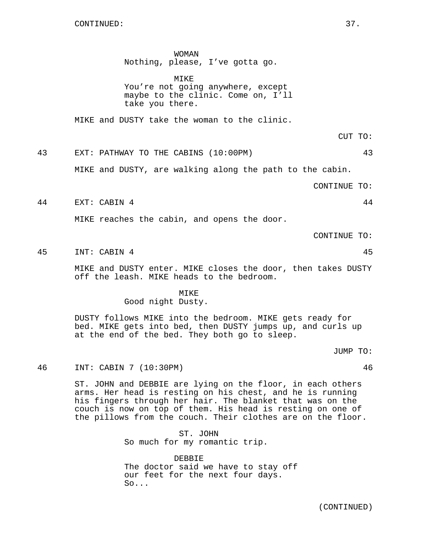WOMAN

Nothing, please, I've gotta go.

MIKE You're not going anywhere, except maybe to the clinic. Come on, I'll take you there.

MIKE and DUSTY take the woman to the clinic.

CUT TO:

43 EXT: PATHWAY TO THE CABINS (10:00PM) 43

MIKE and DUSTY, are walking along the path to the cabin.

CONTINUE TO:

44 EXT: CABIN 4 44

MIKE reaches the cabin, and opens the door.

CONTINUE TO:

45 INT: CABIN 4 45 45

MIKE and DUSTY enter. MIKE closes the door, then takes DUSTY off the leash. MIKE heads to the bedroom.

MIKE

Good night Dusty.

DUSTY follows MIKE into the bedroom. MIKE gets ready for bed. MIKE gets into bed, then DUSTY jumps up, and curls up at the end of the bed. They both go to sleep.

JUMP TO:

46 INT: CABIN 7 (10:30PM) 46

ST. JOHN and DEBBIE are lying on the floor, in each others arms. Her head is resting on his chest, and he is running his fingers through her hair. The blanket that was on the couch is now on top of them. His head is resting on one of the pillows from the couch. Their clothes are on the floor.

> ST. JOHN So much for my romantic trip.

DEBBIE The doctor said we have to stay off our feet for the next four days.  $So.$ ...

(CONTINUED)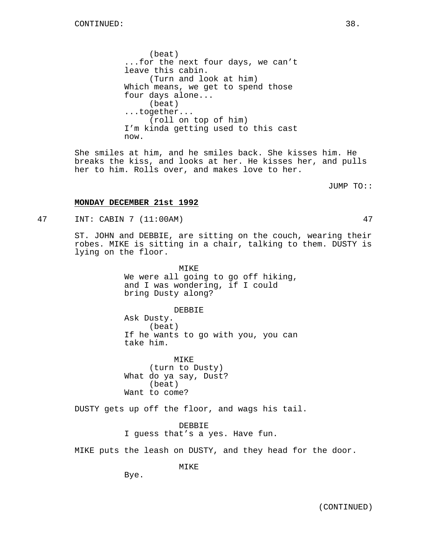(beat) ...for the next four days, we can't leave this cabin. (Turn and look at him) Which means, we get to spend those four days alone... (beat) ...together... (roll on top of him) I'm kinda getting used to this cast now.

She smiles at him, and he smiles back. She kisses him. He breaks the kiss, and looks at her. He kisses her, and pulls her to him. Rolls over, and makes love to her.

JUMP TO::

## **MONDAY DECEMBER 21st 1992**

47 INT: CABIN 7 (11:00AM) 47

ST. JOHN and DEBBIE, are sitting on the couch, wearing their robes. MIKE is sitting in a chair, talking to them. DUSTY is lying on the floor.

> MIKE We were all going to go off hiking, and I was wondering, if I could bring Dusty along?

> > DEBBIE

Ask Dusty. (beat) If he wants to go with you, you can take him.

MIKE (turn to Dusty) What do ya say, Dust? (beat) Want to come?

DUSTY gets up off the floor, and wags his tail.

DEBBIE I guess that's a yes. Have fun.

MIKE puts the leash on DUSTY, and they head for the door.

MIKE

Bye.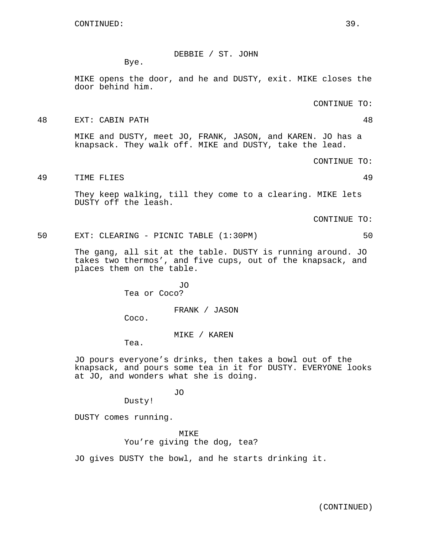DEBBIE / ST. JOHN

Bye.

MIKE opens the door, and he and DUSTY, exit. MIKE closes the door behind him.

CONTINUE TO:

48 EXT: CABIN PATH 48

MIKE and DUSTY, meet JO, FRANK, JASON, and KAREN. JO has a knapsack. They walk off. MIKE and DUSTY, take the lead.

CONTINUE TO:

49 TIME FLIES 49

They keep walking, till they come to a clearing. MIKE lets DUSTY off the leash.

CONTINUE TO:

50 EXT: CLEARING - PICNIC TABLE (1:30PM) 50

The gang, all sit at the table. DUSTY is running around. JO takes two thermos', and five cups, out of the knapsack, and places them on the table.

> JO Tea or Coco?

> > FRANK / JASON

Coco.

MIKE / KAREN

Tea.

JO pours everyone's drinks, then takes a bowl out of the knapsack, and pours some tea in it for DUSTY. EVERYONE looks at JO, and wonders what she is doing.

JO

Dusty!

DUSTY comes running.

MIKE You're giving the dog, tea?

JO gives DUSTY the bowl, and he starts drinking it.

(CONTINUED)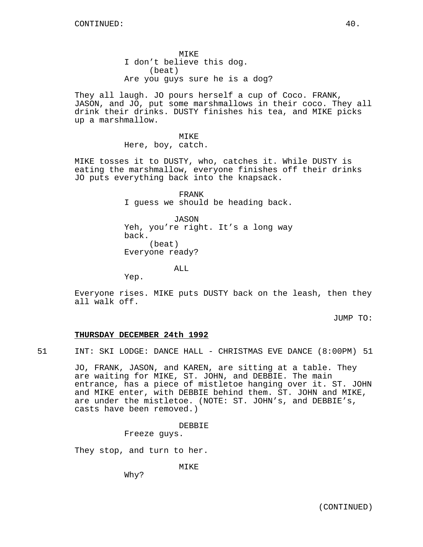MIKE I don't believe this dog. (beat) Are you guys sure he is a dog?

They all laugh. JO pours herself a cup of Coco. FRANK, JASON, and JO, put some marshmallows in their coco. They all drink their drinks. DUSTY finishes his tea, and MIKE picks up a marshmallow.

> MIKE Here, boy, catch.

MIKE tosses it to DUSTY, who, catches it. While DUSTY is eating the marshmallow, everyone finishes off their drinks JO puts everything back into the knapsack.

> FRANK I guess we should be heading back.

> JASON Yeh, you're right. It's a long way back. (beat) Everyone ready?

> > ALL

Yep.

Everyone rises. MIKE puts DUSTY back on the leash, then they all walk off.

JUMP TO:

## **THURSDAY DECEMBER 24th 1992**

51 INT: SKI LODGE: DANCE HALL - CHRISTMAS EVE DANCE (8:00PM) 51

JO, FRANK, JASON, and KAREN, are sitting at a table. They are waiting for MIKE, ST. JOHN, and DEBBIE. The main entrance, has a piece of mistletoe hanging over it. ST. JOHN and MIKE enter, with DEBBIE behind them. ST. JOHN and MIKE, are under the mistletoe. (NOTE: ST. JOHN's, and DEBBIE's, casts have been removed.)

DEBBIE

Freeze guys.

They stop, and turn to her.

MIKE

Why?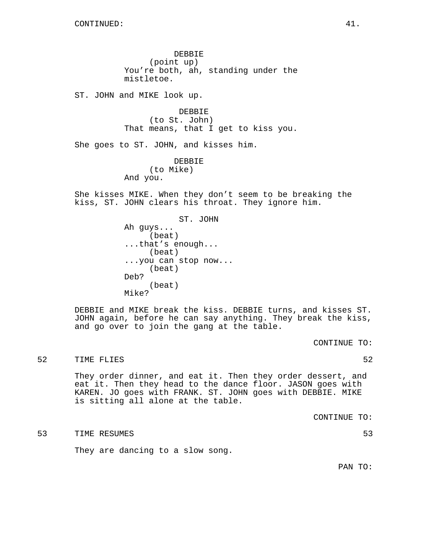DEBBIE (point up) You're both, ah, standing under the mistletoe.

ST. JOHN and MIKE look up.

DEBBIE (to St. John) That means, that I get to kiss you.

She goes to ST. JOHN, and kisses him.

DEBBIE (to Mike) And you.

She kisses MIKE. When they don't seem to be breaking the kiss, ST. JOHN clears his throat. They ignore him.

> ST. JOHN Ah guys... (beat) ...that's enough... (beat) ...you can stop now... (beat) Deb? (beat) Mike?

DEBBIE and MIKE break the kiss. DEBBIE turns, and kisses ST. JOHN again, before he can say anything. They break the kiss, and go over to join the gang at the table.

CONTINUE TO:

#### 52 TIME FLIES 52

They order dinner, and eat it. Then they order dessert, and eat it. Then they head to the dance floor. JASON goes with KAREN. JO goes with FRANK. ST. JOHN goes with DEBBIE. MIKE is sitting all alone at the table.

CONTINUE TO:

#### 53 TIME RESUMES 53

They are dancing to a slow song.

PAN TO: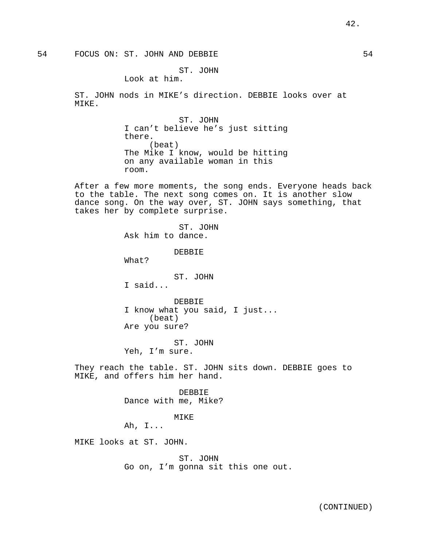#### ST. JOHN

Look at him.

ST. JOHN nods in MIKE's direction. DEBBIE looks over at MIKE.

> ST. JOHN I can't believe he's just sitting there. (beat) The Mike I know, would be hitting on any available woman in this room.

After a few more moments, the song ends. Everyone heads back to the table. The next song comes on. It is another slow dance song. On the way over, ST. JOHN says something, that takes her by complete surprise.

> ST. JOHN Ask him to dance. DEBBIE What? ST. JOHN I said... DEBBIE I know what you said, I just... (beat) Are you sure?

ST. JOHN Yeh, I'm sure.

They reach the table. ST. JOHN sits down. DEBBIE goes to MIKE, and offers him her hand.

> DEBBIE Dance with me, Mike?

#### MIKE

Ah, I...

MIKE looks at ST. JOHN.

ST. JOHN Go on, I'm gonna sit this one out.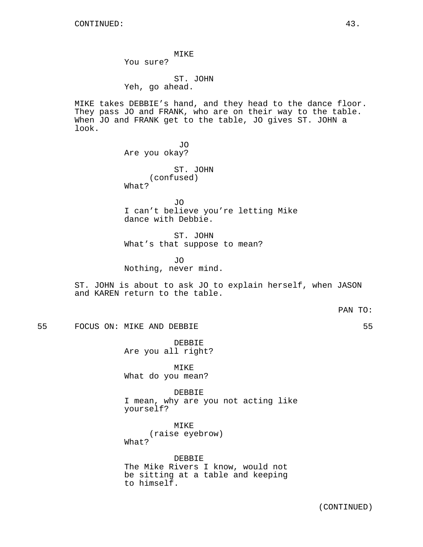MIKE You sure?

ST. JOHN Yeh, go ahead.

MIKE takes DEBBIE's hand, and they head to the dance floor. They pass JO and FRANK, who are on their way to the table. When JO and FRANK get to the table, JO gives ST. JOHN a look.

> JO Are you okay?

ST. JOHN (confused) What?

JO I can't believe you're letting Mike dance with Debbie.

ST. JOHN What's that suppose to mean?

JO Nothing, never mind.

ST. JOHN is about to ask JO to explain herself, when JASON and KAREN return to the table.

PAN TO:

55 FOCUS ON: MIKE AND DEBBIE 55

DEBBIE Are you all right?

MIKE What do you mean?

DEBBIE I mean, why are you not acting like yourself?

MIKE (raise eyebrow) What?

DEBBIE The Mike Rivers I know, would not be sitting at a table and keeping to himself.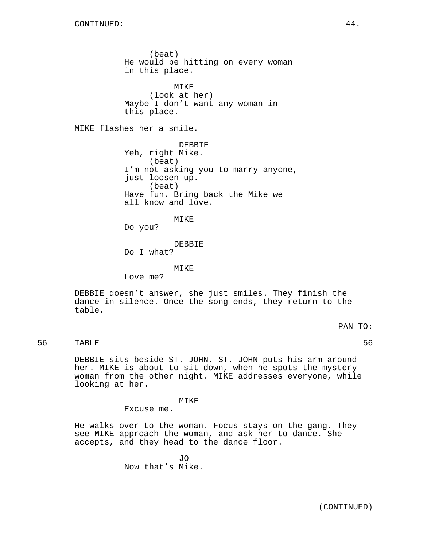(beat) He would be hitting on every woman in this place. MIKE (look at her) Maybe I don't want any woman in this place. MIKE flashes her a smile. DEBBIE Yeh, right Mike. (beat) I'm not asking you to marry anyone, just loosen up. (beat) Have fun. Bring back the Mike we all know and love. MIKE Do you? DEBBIE Do I what? MIKE

Love me?

DEBBIE doesn't answer, she just smiles. They finish the dance in silence. Once the song ends, they return to the table.

PAN TO:

56 TABLE 56

DEBBIE sits beside ST. JOHN. ST. JOHN puts his arm around her. MIKE is about to sit down, when he spots the mystery woman from the other night. MIKE addresses everyone, while looking at her.

MIKE

Excuse me.

He walks over to the woman. Focus stays on the gang. They see MIKE approach the woman, and ask her to dance. She accepts, and they head to the dance floor.

> JO Now that's Mike.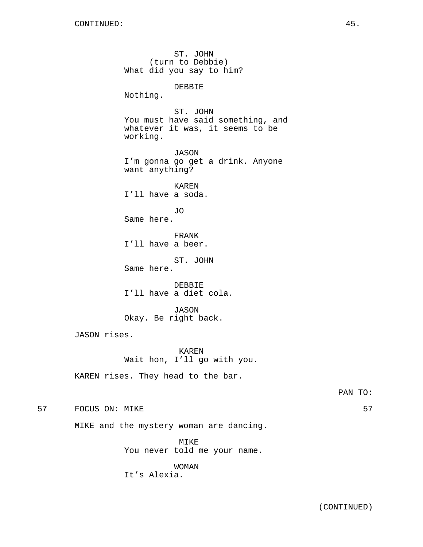ST. JOHN (turn to Debbie) What did you say to him? DEBBIE Nothing. ST. JOHN You must have said something, and whatever it was, it seems to be working. JASON I'm gonna go get a drink. Anyone want anything? KAREN I'll have a soda. JO Same here. FRANK I'll have a beer. ST. JOHN Same here. DEBBIE I'll have a diet cola. JASON Okay. Be right back. JASON rises. KAREN Wait hon, I'll go with you. KAREN rises. They head to the bar. 57 FOCUS ON: MIKE 57 SPONS 57 MIKE and the mystery woman are dancing.

> MIKE You never told me your name.

WOMAN It's Alexia.

PAN TO: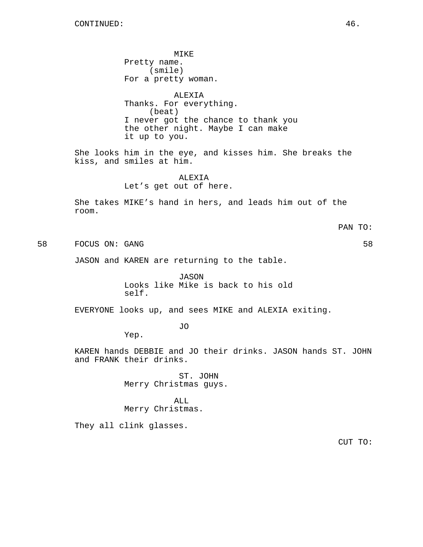MIKE Pretty name. (smile) For a pretty woman. ALEXIA Thanks. For everything. (beat) I never got the chance to thank you the other night. Maybe I can make it up to you. She looks him in the eye, and kisses him. She breaks the kiss, and smiles at him. ALEXIA Let's get out of here. She takes MIKE's hand in hers, and leads him out of the room. PAN TO: 58 FOCUS ON: GANG 58 JASON and KAREN are returning to the table. JASON Looks like Mike is back to his old self. EVERYONE looks up, and sees MIKE and ALEXIA exiting.

JO

Yep.

KAREN hands DEBBIE and JO their drinks. JASON hands ST. JOHN and FRANK their drinks.

> ST. JOHN Merry Christmas guys.

ALL Merry Christmas.

They all clink glasses.

CUT TO: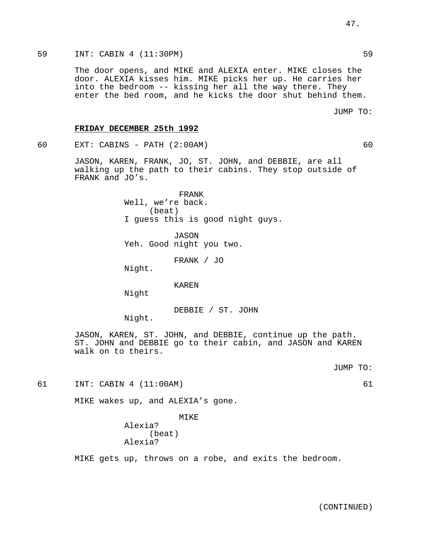The door opens, and MIKE and ALEXIA enter. MIKE closes the door. ALEXIA kisses him. MIKE picks her up. He carries her into the bedroom -- kissing her all the way there. They enter the bed room, and he kicks the door shut behind them.

### **FRIDAY DECEMBER 25th 1992**

60 EXT: CABINS - PATH (2:00AM) 60

JASON, KAREN, FRANK, JO, ST. JOHN, and DEBBIE, are all walking up the path to their cabins. They stop outside of FRANK and JO's.

> FRANK Well, we're back. (beat) I guess this is good night guys.

JASON Yeh. Good night you two.

FRANK / JO

Night.

KAREN

Night

DEBBIE / ST. JOHN

Night.

JASON, KAREN, ST. JOHN, and DEBBIE, continue up the path. ST. JOHN and DEBBIE go to their cabin, and JASON and KAREN walk on to theirs.

JUMP TO:

61 INT: CABIN 4 (11:00AM) 61

MIKE wakes up, and ALEXIA's gone.

MIKE Alexia? (beat)

Alexia?

MIKE gets up, throws on a robe, and exits the bedroom.

JUMP TO: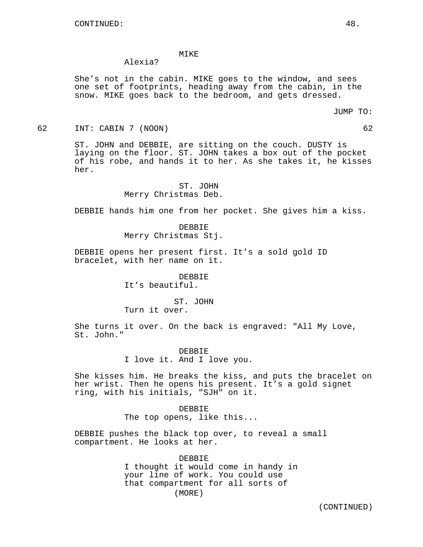#### MIKE

## Alexia?

She's not in the cabin. MIKE goes to the window, and sees one set of footprints, heading away from the cabin, in the snow. MIKE goes back to the bedroom, and gets dressed.

62 INT: CABIN 7 (NOON) 62

ST. JOHN and DEBBIE, are sitting on the couch. DUSTY is laying on the floor. ST. JOHN takes a box out of the pocket of his robe, and hands it to her. As she takes it, he kisses her.

> ST. JOHN Merry Christmas Deb.

DEBBIE hands him one from her pocket. She gives him a kiss.

DEBBIE Merry Christmas Stj.

DEBBIE opens her present first. It's a sold gold ID bracelet, with her name on it.

> DEBBIE It's beautiful.

# ST. JOHN

Turn it over.

She turns it over. On the back is engraved: "All My Love, St. John."

> DEBBIE I love it. And I love you.

She kisses him. He breaks the kiss, and puts the bracelet on her wrist. Then he opens his present. It's a gold signet ring, with his initials, "SJH" on it.

> DEBBIE The top opens, like this...

DEBBIE pushes the black top over, to reveal a small compartment. He looks at her.

> DEBBIE I thought it would come in handy in your line of work. You could use that compartment for all sorts of (MORE)

> > (CONTINUED)

JUMP TO: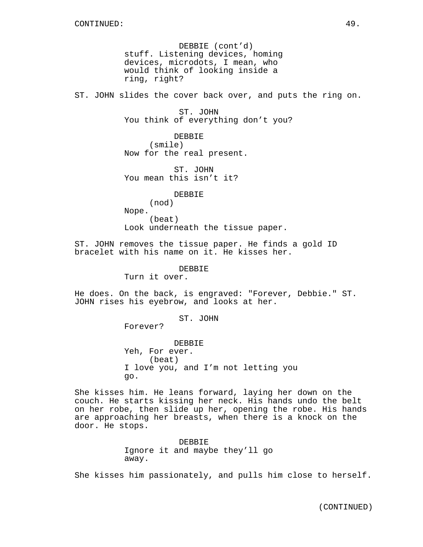DEBBIE (cont'd) stuff. Listening devices, homing devices, microdots, I mean, who would think of looking inside a ring, right?

ST. JOHN slides the cover back over, and puts the ring on.

ST. JOHN You think of everything don't you?

DEBBIE (smile) Now for the real present.

ST. JOHN You mean this isn't it?

DEBBIE

(nod) Nope. (beat) Look underneath the tissue paper.

ST. JOHN removes the tissue paper. He finds a gold ID bracelet with his name on it. He kisses her.

DEBBIE

Turn it over.

He does. On the back, is engraved: "Forever, Debbie." ST. JOHN rises his eyebrow, and looks at her.

ST. JOHN

Forever?

DEBBIE Yeh, For ever. (beat) I love you, and I'm not letting you go.

She kisses him. He leans forward, laying her down on the couch. He starts kissing her neck. His hands undo the belt on her robe, then slide up her, opening the robe. His hands are approaching her breasts, when there is a knock on the door. He stops.

> DEBBIE Ignore it and maybe they'll go away.

She kisses him passionately, and pulls him close to herself.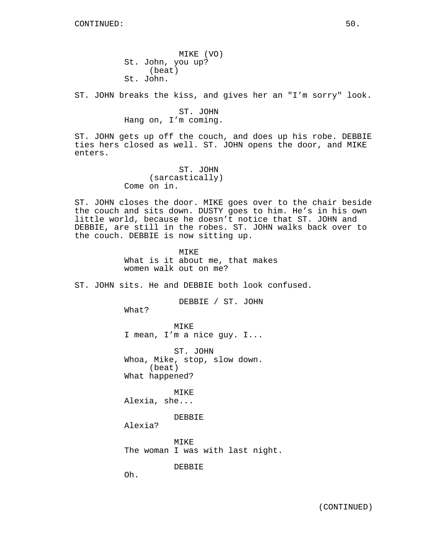MIKE (VO) St. John, you up? (beat) St. John.

ST. JOHN breaks the kiss, and gives her an "I'm sorry" look.

ST. JOHN Hang on, I'm coming.

ST. JOHN gets up off the couch, and does up his robe. DEBBIE ties hers closed as well. ST. JOHN opens the door, and MIKE enters.

> ST. JOHN (sarcastically) Come on in.

ST. JOHN closes the door. MIKE goes over to the chair beside the couch and sits down. DUSTY goes to him. He's in his own little world, because he doesn't notice that ST. JOHN and DEBBIE, are still in the robes. ST. JOHN walks back over to the couch. DEBBIE is now sitting up.

> **MTKE** What is it about me, that makes women walk out on me?

ST. JOHN sits. He and DEBBIE both look confused.

DEBBIE / ST. JOHN

What?

MIKE I mean, I'm a nice guy. I...

ST. JOHN Whoa, Mike, stop, slow down. (beat) What happened?

MIKE Alexia, she...

DEBBIE

Alexia?

MIKE The woman I was with last night.

DEBBIE

Oh.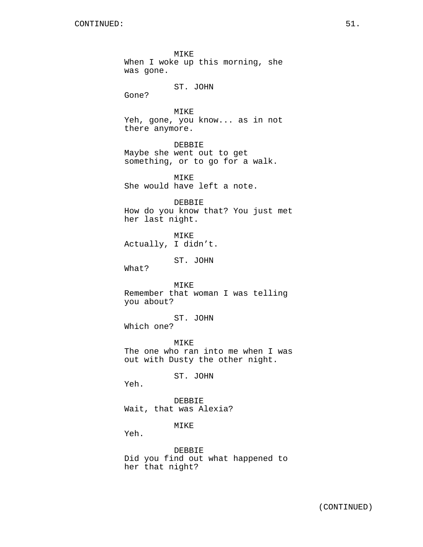MIKE When I woke up this morning, she was gone. ST. JOHN Gone? MIKE Yeh, gone, you know... as in not there anymore. DEBBIE Maybe she went out to get something, or to go for a walk. MIKE She would have left a note. DEBBIE How do you know that? You just met her last night. MIKE Actually, I didn't. ST. JOHN What? MIKE Remember that woman I was telling you about? ST. JOHN Which one? MIKE The one who ran into me when I was out with Dusty the other night. ST. JOHN Yeh. DEBBIE Wait, that was Alexia? MIKE Yeh. DEBBIE Did you find out what happened to her that night?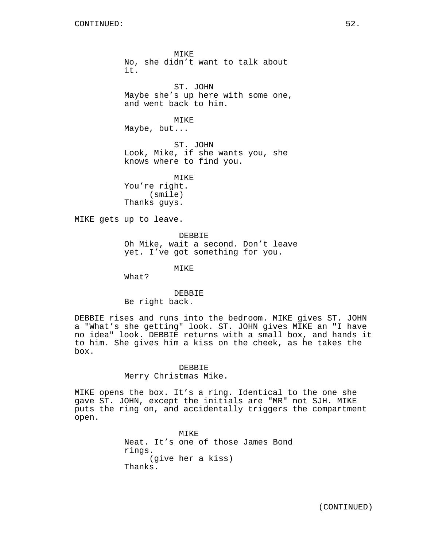MIKE No, she didn't want to talk about it. ST. JOHN Maybe she's up here with some one, and went back to him. MIKE Maybe, but... ST. JOHN Look, Mike, if she wants you, she knows where to find you. MIKE You're right. (smile) Thanks guys. MIKE gets up to leave. DEBBIE

Oh Mike, wait a second. Don't leave yet. I've got something for you.

MIKE

What?

DEBBIE Be right back.

DEBBIE rises and runs into the bedroom. MIKE gives ST. JOHN a "What's she getting" look. ST. JOHN gives MIKE an "I have no idea" look. DEBBIE returns with a small box, and hands it to him. She gives him a kiss on the cheek, as he takes the box.

## DEBBIE Merry Christmas Mike.

MIKE opens the box. It's a ring. Identical to the one she gave ST. JOHN, except the initials are "MR" not SJH. MIKE puts the ring on, and accidentally triggers the compartment open.

> MIKE Neat. It's one of those James Bond rings. (give her a kiss) Thanks.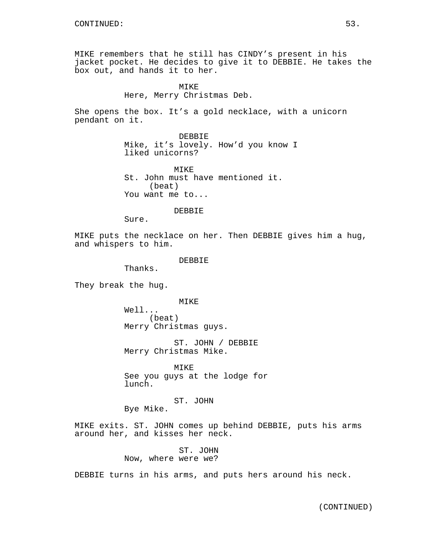MIKE remembers that he still has CINDY's present in his jacket pocket. He decides to give it to DEBBIE. He takes the box out, and hands it to her.

# MIKE Here, Merry Christmas Deb.

She opens the box. It's a gold necklace, with a unicorn pendant on it.

> DEBBIE Mike, it's lovely. How'd you know I liked unicorns?

MTK<sub>E</sub> St. John must have mentioned it. (beat) You want me to...

#### DEBBIE

Sure.

MIKE puts the necklace on her. Then DEBBIE gives him a hug, and whispers to him.

#### DEBBIE

Thanks.

They break the hug.

MIKE

Well... (beat) Merry Christmas guys.

ST. JOHN / DEBBIE Merry Christmas Mike.

MIKE See you guys at the lodge for lunch.

ST. JOHN

Bye Mike.

MIKE exits. ST. JOHN comes up behind DEBBIE, puts his arms around her, and kisses her neck.

> ST. JOHN Now, where were we?

DEBBIE turns in his arms, and puts hers around his neck.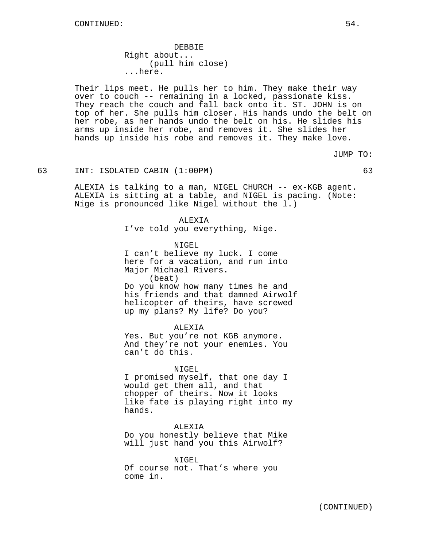DEBBIE Right about... (pull him close) ...here.

Their lips meet. He pulls her to him. They make their way over to couch -- remaining in a locked, passionate kiss. They reach the couch and fall back onto it. ST. JOHN is on top of her. She pulls him closer. His hands undo the belt on her robe, as her hands undo the belt on his. He slides his arms up inside her robe, and removes it. She slides her hands up inside his robe and removes it. They make love.

JUMP TO:

#### 63 INT: ISOLATED CABIN (1:00PM) 63

ALEXIA is talking to a man, NIGEL CHURCH -- ex-KGB agent. ALEXIA is sitting at a table, and NIGEL is pacing. (Note: Nige is pronounced like Nigel without the l.)

> ALEXIA I've told you everything, Nige.

NIGEL I can't believe my luck. I come here for a vacation, and run into Major Michael Rivers. (beat) Do you know how many times he and his friends and that damned Airwolf helicopter of theirs, have screwed up my plans? My life? Do you?

ALEXIA

Yes. But you're not KGB anymore. And they're not your enemies. You can't do this.

#### NIGEL

I promised myself, that one day I would get them all, and that chopper of theirs. Now it looks like fate is playing right into my hands.

**ALEXTA** 

Do you honestly believe that Mike will just hand you this Airwolf?

NIGEL Of course not. That's where you come in.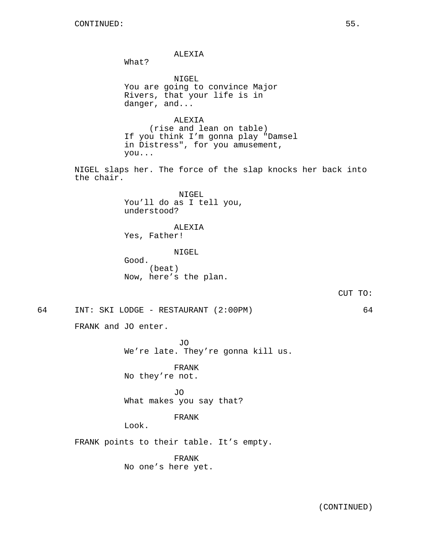ALEXIA

What?

NIGEL You are going to convince Major Rivers, that your life is in danger, and...

ALEXIA (rise and lean on table) If you think I'm gonna play "Damsel in Distress", for you amusement, you...

NIGEL slaps her. The force of the slap knocks her back into the chair.

> NIGEL You'll do as I tell you, understood?

ALEXIA Yes, Father!

NIGEL

Good. (beat) Now, here's the plan.

CUT TO:

64 INT: SKI LODGE - RESTAURANT (2:00PM) 64

FRANK and JO enter.

JO We're late. They're gonna kill us.

FRANK No they're not.

JO What makes you say that?

### FRANK

Look.

FRANK points to their table. It's empty.

FRANK No one's here yet.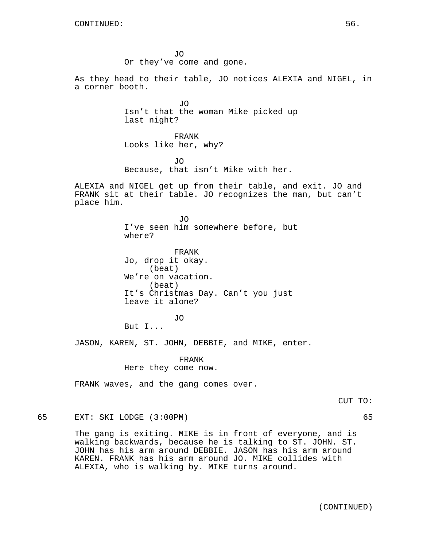JO Or they've come and gone.

As they head to their table, JO notices ALEXIA and NIGEL, in a corner booth.

> JO Isn't that the woman Mike picked up last night?

FRANK Looks like her, why?

JO Because, that isn't Mike with her.

ALEXIA and NIGEL get up from their table, and exit. JO and FRANK sit at their table. JO recognizes the man, but can't place him.

> JO I've seen him somewhere before, but where?

FRANK Jo, drop it okay. (beat) We're on vacation. (beat) It's Christmas Day. Can't you just leave it alone?

JO

But I...

JASON, KAREN, ST. JOHN, DEBBIE, and MIKE, enter.

FRANK Here they come now.

FRANK waves, and the gang comes over.

CUT TO:

65 EXT: SKI LODGE (3:00PM) 65

The gang is exiting. MIKE is in front of everyone, and is walking backwards, because he is talking to ST. JOHN. ST. JOHN has his arm around DEBBIE. JASON has his arm around KAREN. FRANK has his arm around JO. MIKE collides with ALEXIA, who is walking by. MIKE turns around.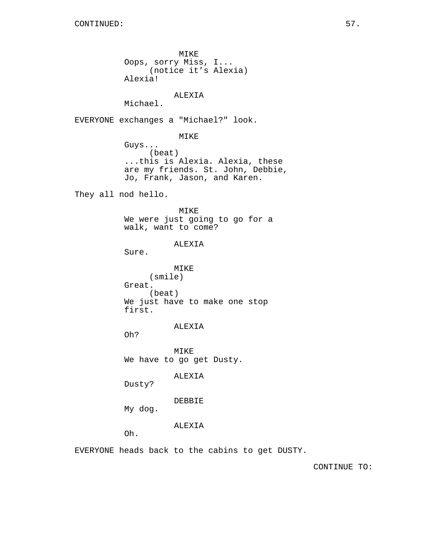MIKE Oops, sorry Miss, I... (notice it's Alexia) Alexia!

# ALEXIA

Michael.

EVERYONE exchanges a "Michael?" look.

MIKE

Guys... (beat) ...this is Alexia. Alexia, these are my friends. St. John, Debbie, Jo, Frank, Jason, and Karen.

They all nod hello.

MIKE We were just going to go for a walk, want to come?

#### ALEXIA

Sure.

MIKE (smile) Great. (beat) We just have to make one stop first.

ALEXIA

Oh?

MIKE We have to go get Dusty.

ALEXIA

Dusty?

DEBBIE

My dog.

ALEXIA

Oh.

EVERYONE heads back to the cabins to get DUSTY.

CONTINUE TO: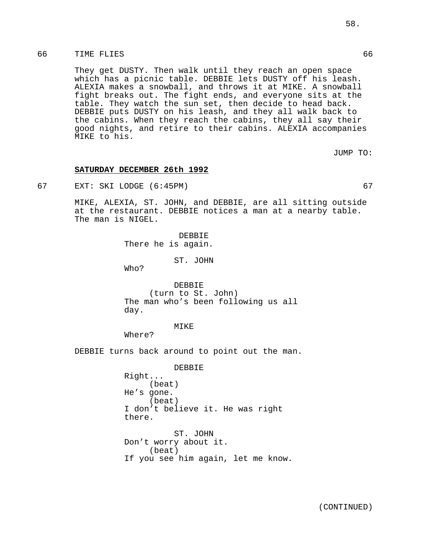## 66 TIME FLIES 66

They get DUSTY. Then walk until they reach an open space which has a picnic table. DEBBIE lets DUSTY off his leash. ALEXIA makes a snowball, and throws it at MIKE. A snowball fight breaks out. The fight ends, and everyone sits at the table. They watch the sun set, then decide to head back. DEBBIE puts DUSTY on his leash, and they all walk back to the cabins. When they reach the cabins, they all say their good nights, and retire to their cabins. ALEXIA accompanies MIKE to his.

JUMP TO:

#### **SATURDAY DECEMBER 26th 1992**

67 EXT: SKI LODGE (6:45PM) 67

MIKE, ALEXIA, ST. JOHN, and DEBBIE, are all sitting outside at the restaurant. DEBBIE notices a man at a nearby table. The man is NIGEL.

> DEBBIE There he is again.

> > ST. JOHN

Who?

DEBBIE (turn to St. John) The man who's been following us all day.

#### MIKE

Where?

DEBBIE turns back around to point out the man.

DEBBIE Right... (beat) He's gone. (beat) I don't believe it. He was right there. ST. JOHN Don't worry about it. (beat)

If you see him again, let me know.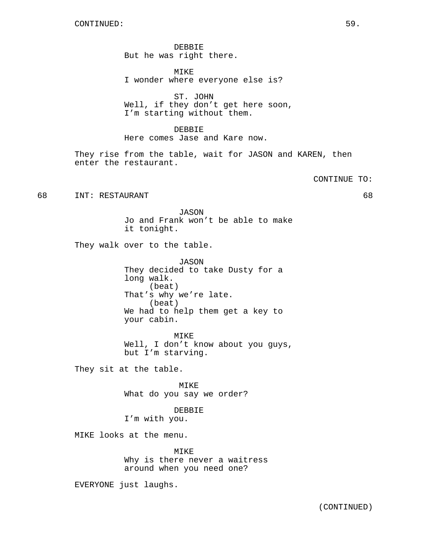DEBBIE But he was right there.

MIKE I wonder where everyone else is?

ST. JOHN Well, if they don't get here soon, I'm starting without them.

DEBBIE Here comes Jase and Kare now.

They rise from the table, wait for JASON and KAREN, then enter the restaurant.

CONTINUE TO:

68 INT: RESTAURANT 68

JASON Jo and Frank won't be able to make it tonight.

They walk over to the table.

JASON They decided to take Dusty for a long walk. (beat) That's why we're late. (beat) We had to help them get a key to your cabin.

MIKE Well, I don't know about you guys, but I'm starving.

They sit at the table.

MIKE What do you say we order?

DEBBIE I'm with you.

MIKE looks at the menu.

MIKE Why is there never a waitress around when you need one?

EVERYONE just laughs.

(CONTINUED)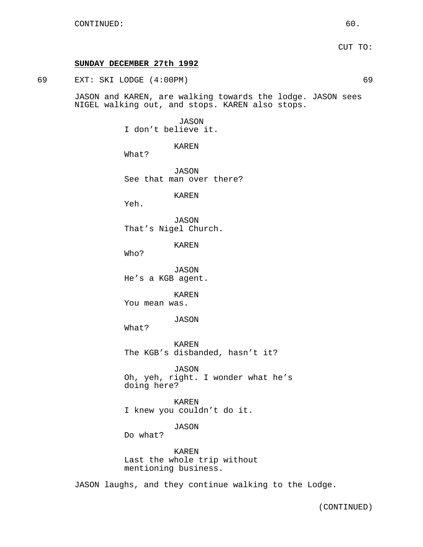## **SUNDAY DECEMBER 27th 1992**

69 EXT: SKI LODGE (4:00PM) 69

JASON and KAREN, are walking towards the lodge. JASON sees NIGEL walking out, and stops. KAREN also stops.

### JASON

I don't believe it.

KAREN

What?

JASON See that man over there?

KAREN

Yeh.

JASON That's Nigel Church.

KAREN

Who?

JASON He's a KGB agent.

KAREN

You mean was.

JASON

What?

KAREN The KGB's disbanded, hasn't it?

JASON Oh, yeh, right. I wonder what he's doing here?

KAREN I knew you couldn't do it.

## JASON

Do what?

KAREN Last the whole trip without mentioning business.

JASON laughs, and they continue walking to the Lodge.

(CONTINUED)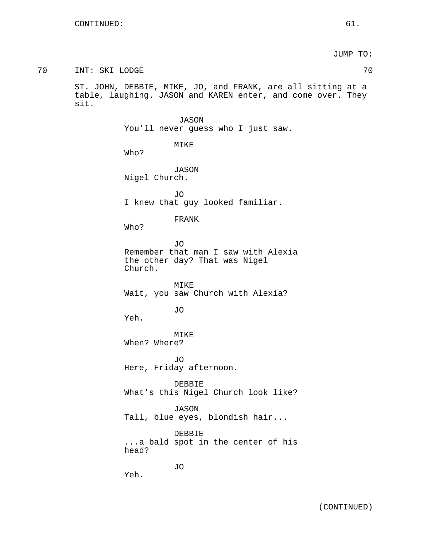JUMP TO:

70 INT: SKI LODGE 70 ST. JOHN, DEBBIE, MIKE, JO, and FRANK, are all sitting at a table, laughing. JASON and KAREN enter, and come over. They sit. JASON You'll never guess who I just saw. MIKE Who? JASON Nigel Church. JO I knew that guy looked familiar. FRANK Who? JO Remember that man I saw with Alexia the other day? That was Nigel Church. MIKE Wait, you saw Church with Alexia? JO Yeh. MIKE When? Where? JO Here, Friday afternoon. DEBBIE What's this Nigel Church look like? JASON Tall, blue eyes, blondish hair... DEBBIE ...a bald spot in the center of his head? JO Yeh. (CONTINUED)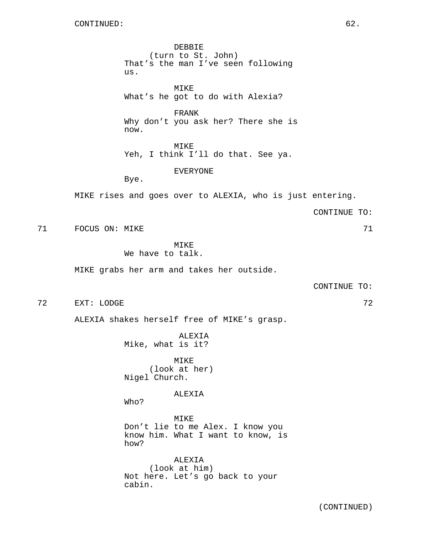DEBBIE (turn to St. John) That's the man I've seen following us.

MIKE What's he got to do with Alexia?

FRANK Why don't you ask her? There she is now.

MIKE Yeh, I think I'll do that. See ya.

EVERYONE

Bye.

MIKE rises and goes over to ALEXIA, who is just entering.

CONTINUE TO:

71 FOCUS ON: MIKE 71

MIKE We have to talk.

MIKE grabs her arm and takes her outside.

CONTINUE TO:

72 EXT: LODGE 72

ALEXIA shakes herself free of MIKE's grasp.

ALEXIA Mike, what is it?

MIKE (look at her) Nigel Church.

ALEXIA

Who?

MIKE Don't lie to me Alex. I know you know him. What I want to know, is how?

ALEXIA (look at him) Not here. Let's go back to your cabin.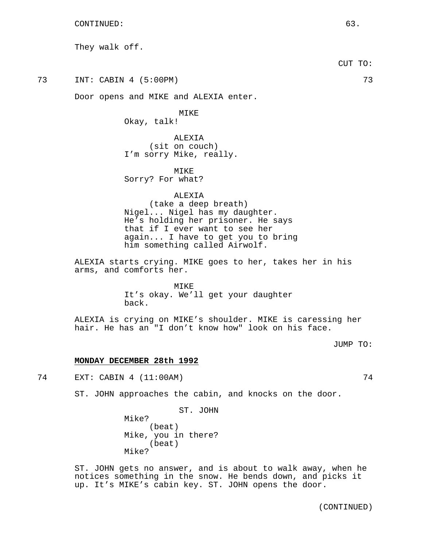They walk off.

CUT TO:

73 INT: CABIN 4 (5:00PM) 73

Door opens and MIKE and ALEXIA enter.

MIKE

Okay, talk!

ALEXIA (sit on couch) I'm sorry Mike, really.

MIKE Sorry? For what?

### ALEXIA

(take a deep breath) Nigel... Nigel has my daughter. He's holding her prisoner. He says that if I ever want to see her again... I have to get you to bring him something called Airwolf.

ALEXIA starts crying. MIKE goes to her, takes her in his arms, and comforts her.

> MTKE<sup>®</sup> It's okay. We'll get your daughter back.

ALEXIA is crying on MIKE's shoulder. MIKE is caressing her hair. He has an "I don't know how" look on his face.

JUMP TO:

#### **MONDAY DECEMBER 28th 1992**

74 EXT: CABIN 4 (11:00AM) 74

ST. JOHN approaches the cabin, and knocks on the door.

ST. JOHN

Mike? (beat) Mike, you in there? (beat) Mike?

ST. JOHN gets no answer, and is about to walk away, when he notices something in the snow. He bends down, and picks it up. It's MIKE's cabin key. ST. JOHN opens the door.

(CONTINUED)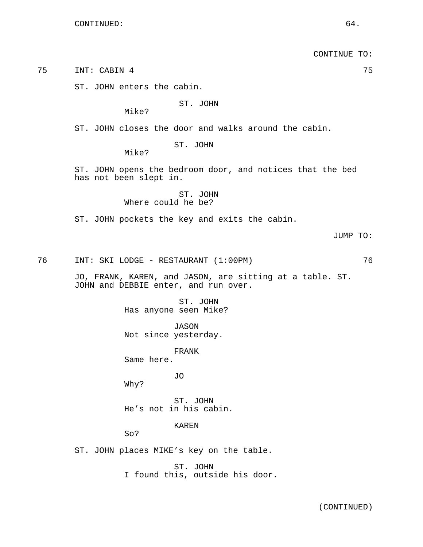CONTINUE TO: 75 INT: CABIN 4 75 ST. JOHN enters the cabin. ST. JOHN Mike? ST. JOHN closes the door and walks around the cabin. ST. JOHN Mike? ST. JOHN opens the bedroom door, and notices that the bed has not been slept in. ST. JOHN Where could he be? ST. JOHN pockets the key and exits the cabin. JUMP TO: 76 INT: SKI LODGE - RESTAURANT (1:00PM) 76 JO, FRANK, KAREN, and JASON, are sitting at a table. ST. JOHN and DEBBIE enter, and run over. ST. JOHN Has anyone seen Mike? JASON Not since yesterday. FRANK Same here. JO Why? ST. JOHN He's not in his cabin. KAREN So? ST. JOHN places MIKE's key on the table. ST. JOHN I found this, outside his door.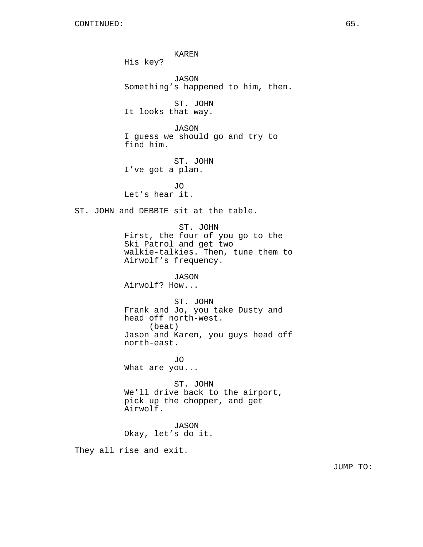KAREN His key? JASON Something's happened to him, then. ST. JOHN It looks that way. JASON I guess we should go and try to find him. ST. JOHN I've got a plan. JO Let's hear it. ST. JOHN and DEBBIE sit at the table. ST. JOHN First, the four of you go to the Ski Patrol and get two walkie-talkies. Then, tune them to Airwolf's frequency. JASON Airwolf? How... ST. JOHN Frank and Jo, you take Dusty and head off north-west. (beat) Jason and Karen, you guys head off north-east. JO What are you... ST. JOHN We'll drive back to the airport, pick up the chopper, and get Airwolf. JASON Okay, let's do it. They all rise and exit.

JUMP TO: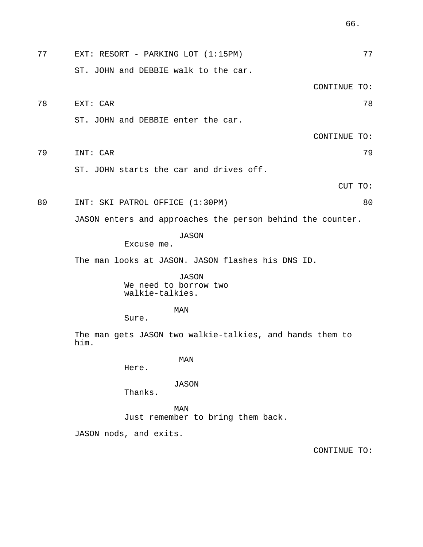77 EXT: RESORT - PARKING LOT (1:15PM) 77 ST. JOHN and DEBBIE walk to the car. CONTINUE TO: 78 EXT: CAR 78 ST. JOHN and DEBBIE enter the car. CONTINUE TO: 79 INT: CAR 79 ST. JOHN starts the car and drives off. CUT TO: 80 INT: SKI PATROL OFFICE (1:30PM) 80 JASON enters and approaches the person behind the counter. JASON Excuse me. The man looks at JASON. JASON flashes his DNS ID. JASON We need to borrow two walkie-talkies. MAN Sure. The man gets JASON two walkie-talkies, and hands them to him. MAN Here.

JASON

Thanks.

MAN Just remember to bring them back.

JASON nods, and exits.

CONTINUE TO: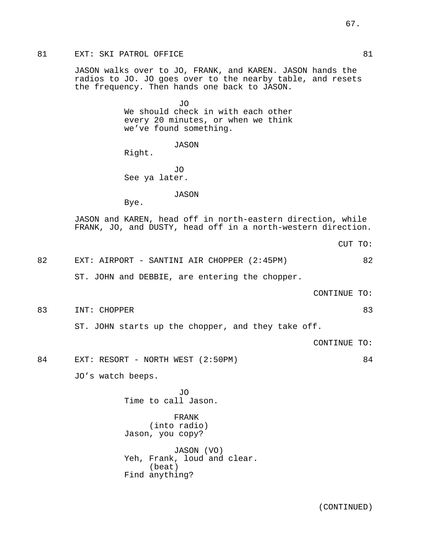JASON walks over to JO, FRANK, and KAREN. JASON hands the radios to JO. JO goes over to the nearby table, and resets the frequency. Then hands one back to JASON.

> JO We should check in with each other every 20 minutes, or when we think we've found something.

> > JASON

Right.

JO See ya later.

JASON

Bye.

JASON and KAREN, head off in north-eastern direction, while FRANK, JO, and DUSTY, head off in a north-western direction.

CUT TO:

82 EXT: AIRPORT - SANTINI AIR CHOPPER (2:45PM) 62 ST. JOHN and DEBBIE, are entering the chopper.

CONTINUE TO:

83 INT: CHOPPER 83

ST. JOHN starts up the chopper, and they take off.

CONTINUE TO:

84 EXT: RESORT - NORTH WEST (2:50PM) 84

JO's watch beeps.

JO Time to call Jason.

FRANK (into radio) Jason, you copy?

JASON (VO) Yeh, Frank, loud and clear. (beat) Find anything?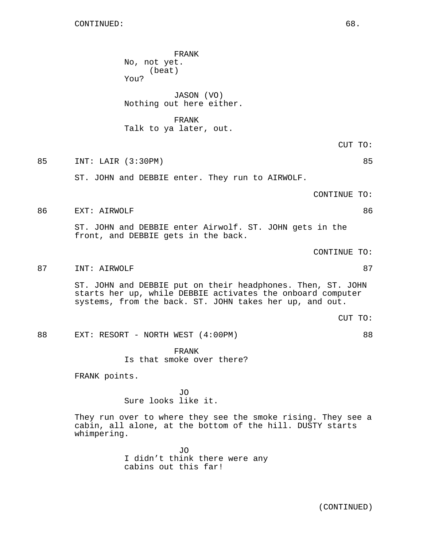FRANK No, not yet. (beat) You? JASON (VO) Nothing out here either. FRANK Talk to ya later, out. CUT TO: 85 INT: LAIR (3:30PM) 85 ST. JOHN and DEBBIE enter. They run to AIRWOLF. CONTINUE TO: 86 EXT: AIRWOLF 86 ST. JOHN and DEBBIE enter Airwolf. ST. JOHN gets in the front, and DEBBIE gets in the back. CONTINUE TO: 87 INT: AIRWOLF 87 and 87 ST. JOHN and DEBBIE put on their headphones. Then, ST. JOHN starts her up, while DEBBIE activates the onboard computer systems, from the back. ST. JOHN takes her up, and out. CUT TO: 88 EXT: RESORT - NORTH WEST (4:00PM) 88 FRANK Is that smoke over there? FRANK points. JO Sure looks like it. They run over to where they see the smoke rising. They see a cabin, all alone, at the bottom of the hill. DUSTY starts whimpering.

> JO I didn't think there were any cabins out this far!

> > (CONTINUED)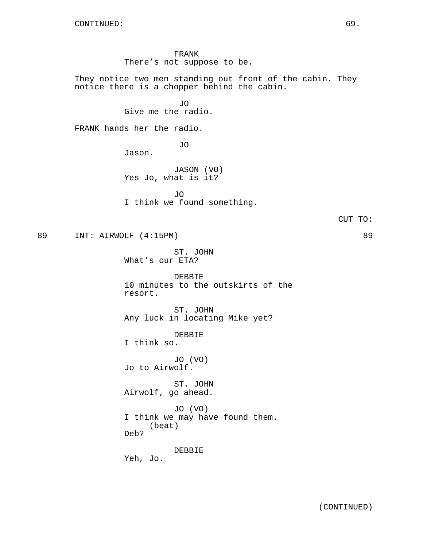FRANK There's not suppose to be.

They notice two men standing out front of the cabin. They notice there is a chopper behind the cabin.

> JO Give me the radio.

FRANK hands her the radio.

JO

Jason.

JASON (VO) Yes Jo, what is it?

JO I think we found something.

89 INT: AIRWOLF (4:15PM) 89

ST. JOHN What's our ETA?

DEBBIE 10 minutes to the outskirts of the resort.

ST. JOHN Any luck in locating Mike yet?

DEBBIE I think so.

JO (VO) Jo to Airwolf.

ST. JOHN Airwolf, go ahead.

JO (VO) I think we may have found them. (beat) Deb?

DEBBIE

Yeh, Jo.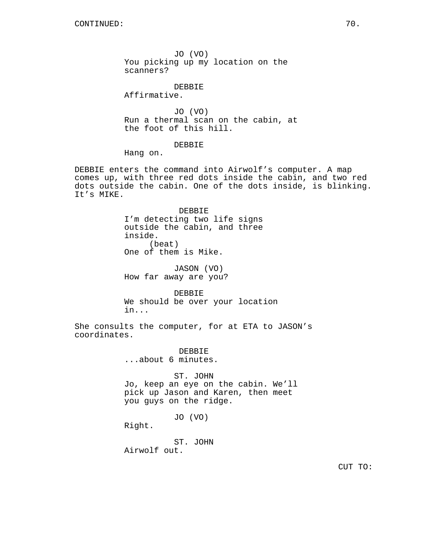JO (VO) You picking up my location on the scanners?

DEBBIE

Affirmative.

JO (VO) Run a thermal scan on the cabin, at the foot of this hill.

DEBBIE

Hang on.

DEBBIE enters the command into Airwolf's computer. A map comes up, with three red dots inside the cabin, and two red dots outside the cabin. One of the dots inside, is blinking. It's MIKE.

> DEBBIE I'm detecting two life signs outside the cabin, and three inside. (beat) One of them is Mike.

JASON (VO) How far away are you?

DEBBIE We should be over your location in...

She consults the computer, for at ETA to JASON's coordinates.

> DEBBIE ...about 6 minutes.

ST. JOHN Jo, keep an eye on the cabin. We'll pick up Jason and Karen, then meet you guys on the ridge.

JO (VO)

Right.

ST. JOHN Airwolf out.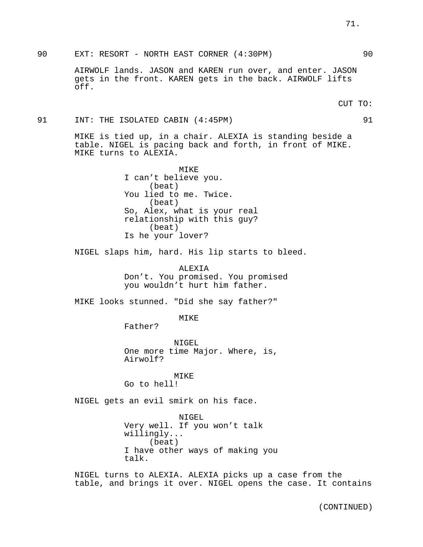90 EXT: RESORT - NORTH EAST CORNER (4:30PM) 90

AIRWOLF lands. JASON and KAREN run over, and enter. JASON gets in the front. KAREN gets in the back. AIRWOLF lifts off.

91 INT: THE ISOLATED CABIN (4:45PM) 91 91

MIKE is tied up, in a chair. ALEXIA is standing beside a table. NIGEL is pacing back and forth, in front of MIKE. MIKE turns to ALEXIA.

> MIKE I can't believe you. (beat) You lied to me. Twice. (beat) So, Alex, what is your real relationship with this guy? (beat) Is he your lover?

NIGEL slaps him, hard. His lip starts to bleed.

ALEXIA Don't. You promised. You promised you wouldn't hurt him father.

MIKE looks stunned. "Did she say father?"

MIKE

NIGEL One more time Major. Where, is, Airwolf?

MIKE Go to hell!

Father?

NIGEL gets an evil smirk on his face.

NIGEL Very well. If you won't talk willingly... (beat) I have other ways of making you talk.

NIGEL turns to ALEXIA. ALEXIA picks up a case from the table, and brings it over. NIGEL opens the case. It contains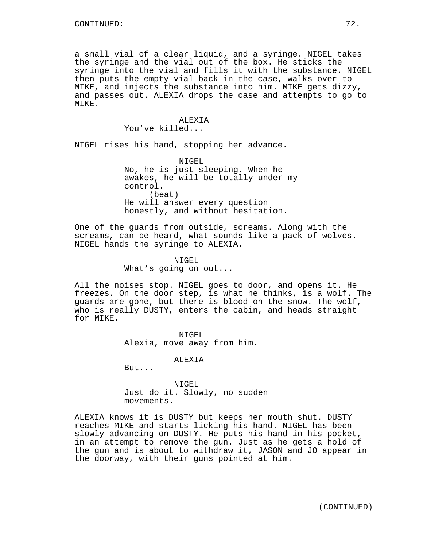a small vial of a clear liquid, and a syringe. NIGEL takes the syringe and the vial out of the box. He sticks the syringe into the vial and fills it with the substance. NIGEL then puts the empty vial back in the case, walks over to MIKE, and injects the substance into him. MIKE gets dizzy, and passes out. ALEXIA drops the case and attempts to go to MIKE.

#### ALEXIA You've killed...

NIGEL rises his hand, stopping her advance.

NIGEL No, he is just sleeping. When he awakes, he will be totally under my control. (beat) He will answer every question honestly, and without hesitation.

One of the guards from outside, screams. Along with the screams, can be heard, what sounds like a pack of wolves. NIGEL hands the syringe to ALEXIA.

> NIGEL What's going on out...

All the noises stop. NIGEL goes to door, and opens it. He freezes. On the door step, is what he thinks, is a wolf. The guards are gone, but there is blood on the snow. The wolf, who is really DUSTY, enters the cabin, and heads straight for MIKE.

> NIGEL Alexia, move away from him.

> > **ALEXTA**

But...

NIGEL Just do it. Slowly, no sudden movements.

ALEXIA knows it is DUSTY but keeps her mouth shut. DUSTY reaches MIKE and starts licking his hand. NIGEL has been slowly advancing on DUSTY. He puts his hand in his pocket, in an attempt to remove the gun. Just as he gets a hold of the gun and is about to withdraw it, JASON and JO appear in the doorway, with their guns pointed at him.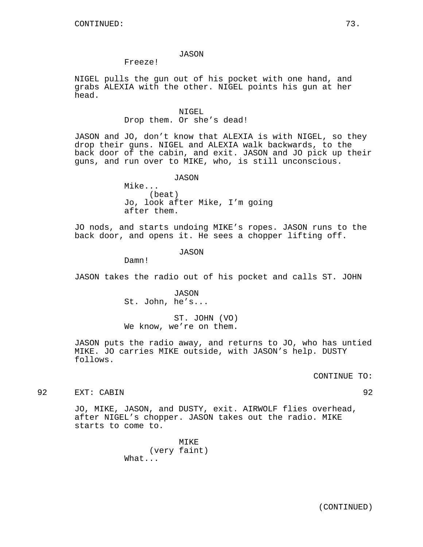#### JASON

Freeze!

NIGEL pulls the gun out of his pocket with one hand, and grabs ALEXIA with the other. NIGEL points his gun at her head.

#### NIGEL.

# Drop them. Or she's dead!

JASON and JO, don't know that ALEXIA is with NIGEL, so they drop their guns. NIGEL and ALEXIA walk backwards, to the back door of the cabin, and exit. JASON and JO pick up their guns, and run over to MIKE, who, is still unconscious.

JASON

Mike... (beat) Jo, look after Mike, I'm going after them.

JO nods, and starts undoing MIKE's ropes. JASON runs to the back door, and opens it. He sees a chopper lifting off.

JASON

Damn!

JASON takes the radio out of his pocket and calls ST. JOHN

JASON St. John, he's...

ST. JOHN (VO) We know, we're on them.

JASON puts the radio away, and returns to JO, who has untied MIKE. JO carries MIKE outside, with JASON's help. DUSTY follows.

CONTINUE TO:

92 EXT: CABIN 92

JO, MIKE, JASON, and DUSTY, exit. AIRWOLF flies overhead, after NIGEL's chopper. JASON takes out the radio. MIKE starts to come to.

> MIKE (very faint) What...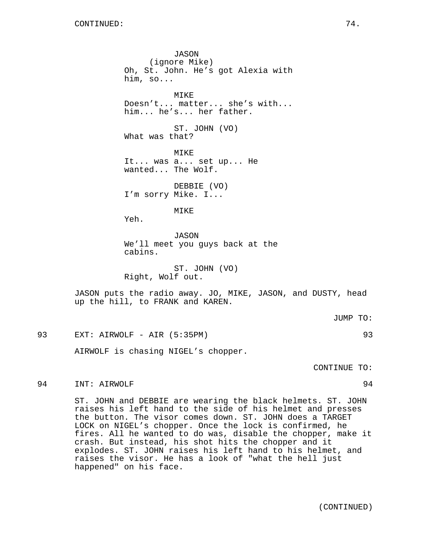JASON (ignore Mike) Oh, St. John. He's got Alexia with him, so... MIKE Doesn't... matter... she's with... him... he's... her father. ST. JOHN (VO) What was that? MIKE It... was a... set up... He wanted... The Wolf. DEBBIE (VO) I'm sorry Mike. I... MIKE Yeh. JASON We'll meet you guys back at the cabins.

ST. JOHN (VO) Right, Wolf out.

JASON puts the radio away. JO, MIKE, JASON, and DUSTY, head up the hill, to FRANK and KAREN.

93 EXT: AIRWOLF - AIR (5:35PM) 93

AIRWOLF is chasing NIGEL's chopper.

CONTINUE TO:

# 94 INT: AIRWOLF 94

ST. JOHN and DEBBIE are wearing the black helmets. ST. JOHN raises his left hand to the side of his helmet and presses the button. The visor comes down. ST. JOHN does a TARGET LOCK on NIGEL's chopper. Once the lock is confirmed, he fires. All he wanted to do was, disable the chopper, make it crash. But instead, his shot hits the chopper and it explodes. ST. JOHN raises his left hand to his helmet, and raises the visor. He has a look of "what the hell just happened" on his face.

(CONTINUED)

# JUMP TO: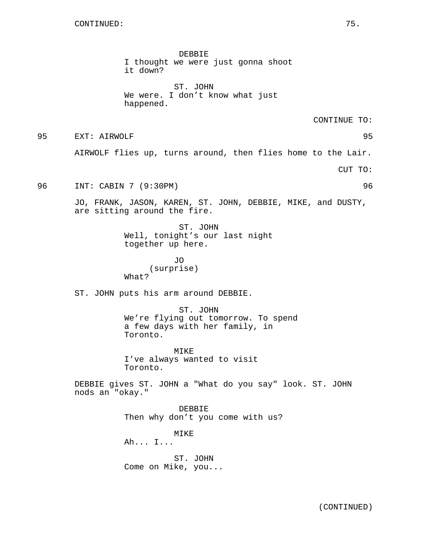DEBBIE I thought we were just gonna shoot it down?

ST. JOHN We were. I don't know what just happened.

CONTINUE TO:

95 EXT: AIRWOLF 95

AIRWOLF flies up, turns around, then flies home to the Lair.

CUT TO:

96 INT: CABIN 7 (9:30PM) 96

JO, FRANK, JASON, KAREN, ST. JOHN, DEBBIE, MIKE, and DUSTY, are sitting around the fire.

> ST. JOHN Well, tonight's our last night together up here.

JO (surprise) What?

ST. JOHN puts his arm around DEBBIE.

ST. JOHN We're flying out tomorrow. To spend a few days with her family, in Toronto.

MIKE I've always wanted to visit Toronto.

DEBBIE gives ST. JOHN a "What do you say" look. ST. JOHN nods an "okay."

> DEBBIE Then why don't you come with us?

MIKE Ah... I...

ST. JOHN Come on Mike, you...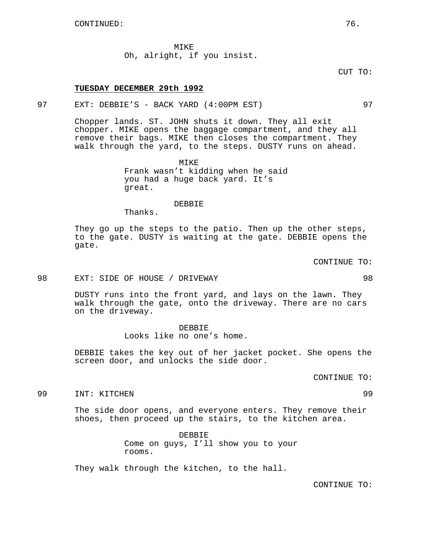MIKE Oh, alright, if you insist.

CUT TO:

# **TUESDAY DECEMBER 29th 1992**

# 97 EXT: DEBBIE'S - BACK YARD (4:00PM EST) 97

Chopper lands. ST. JOHN shuts it down. They all exit chopper. MIKE opens the baggage compartment, and they all remove their bags. MIKE then closes the compartment. They walk through the yard, to the steps. DUSTY runs on ahead.

> **MTKE** Frank wasn't kidding when he said you had a huge back yard. It's great.

DEBBIE Thanks.

They go up the steps to the patio. Then up the other steps, to the gate. DUSTY is waiting at the gate. DEBBIE opens the gate.

CONTINUE TO:

#### 98 EXT: SIDE OF HOUSE / DRIVEWAY 98

DUSTY runs into the front yard, and lays on the lawn. They walk through the gate, onto the driveway. There are no cars on the driveway.

#### DEBBIE

Looks like no one's home.

DEBBIE takes the key out of her jacket pocket. She opens the screen door, and unlocks the side door.

CONTINUE TO:

99 INT: KITCHEN 99

The side door opens, and everyone enters. They remove their shoes, then proceed up the stairs, to the kitchen area.

> DEBBIE Come on guys, I'll show you to your rooms.

They walk through the kitchen, to the hall.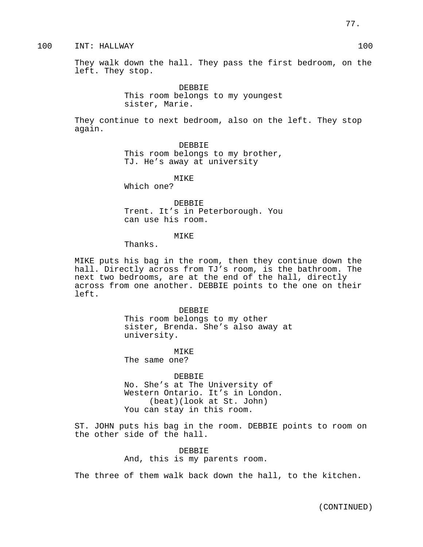100 INT: HALLWAY 100

They walk down the hall. They pass the first bedroom, on the left. They stop.

> DEBBIE This room belongs to my youngest sister, Marie.

They continue to next bedroom, also on the left. They stop again.

> DEBBIE This room belongs to my brother, TJ. He's away at university

> > MIKE

Which one?

DEBBIE Trent. It's in Peterborough. You can use his room.

MIKE

Thanks.

MIKE puts his bag in the room, then they continue down the hall. Directly across from TJ's room, is the bathroom. The next two bedrooms, are at the end of the hall, directly across from one another. DEBBIE points to the one on their left.

> DEBBIE This room belongs to my other sister, Brenda. She's also away at university.

MIKE The same one?

DEBBIE No. She's at The University of Western Ontario. It's in London. (beat)(look at St. John) You can stay in this room.

ST. JOHN puts his bag in the room. DEBBIE points to room on the other side of the hall.

> DEBBIE And, this is my parents room.

The three of them walk back down the hall, to the kitchen.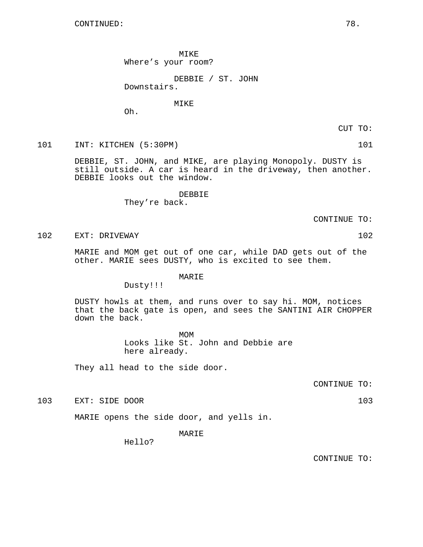MIKE Where's your room?

DEBBIE / ST. JOHN Downstairs.

MIKE

Oh.

CUT TO:

101 INT: KITCHEN (5:30PM) 101

DEBBIE, ST. JOHN, and MIKE, are playing Monopoly. DUSTY is still outside. A car is heard in the driveway, then another. DEBBIE looks out the window.

> DEBBIE They're back.

> > CONTINUE TO:

102 EXT: DRIVEWAY 102

MARIE and MOM get out of one car, while DAD gets out of the other. MARIE sees DUSTY, who is excited to see them.

# MARIE

Dusty!!!

DUSTY howls at them, and runs over to say hi. MOM, notices that the back gate is open, and sees the SANTINI AIR CHOPPER down the back.

> MOM Looks like St. John and Debbie are here already.

They all head to the side door.

CONTINUE TO:

103 EXT: SIDE DOOR 103

MARIE opens the side door, and yells in.

MARIE

Hello?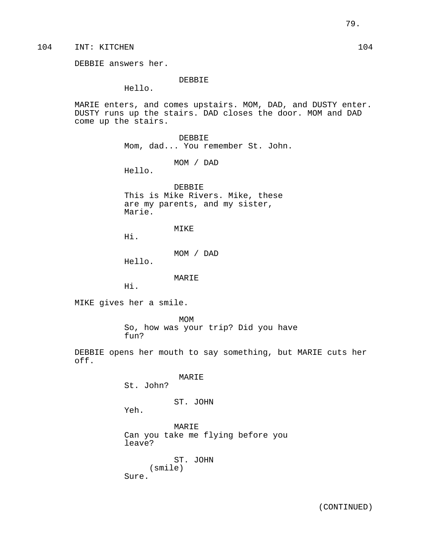104 INT: KITCHEN 104

DEBBIE answers her.

DEBBIE

Hello.

MARIE enters, and comes upstairs. MOM, DAD, and DUSTY enter. DUSTY runs up the stairs. DAD closes the door. MOM and DAD come up the stairs.

> DEBBIE Mom, dad... You remember St. John.

> > MOM / DAD

Hello.

DEBBIE This is Mike Rivers. Mike, these are my parents, and my sister, Marie.

MIKE

Hi.

MOM / DAD

Hello.

MARIE

Hi.

MIKE gives her a smile.

MOM So, how was your trip? Did you have fun?

DEBBIE opens her mouth to say something, but MARIE cuts her off.

MARIE

St. John?

# ST. JOHN

Yeh.

MARIE Can you take me flying before you leave?

ST. JOHN (smile) Sure.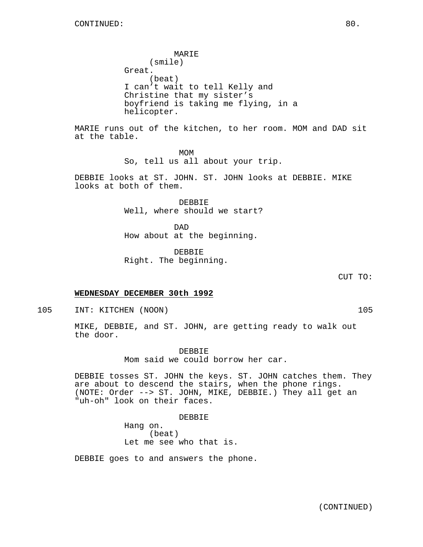MARIE (smile) Great. (beat) I can't wait to tell Kelly and Christine that my sister's boyfriend is taking me flying, in a helicopter.

MARIE runs out of the kitchen, to her room. MOM and DAD sit at the table.

> MOM So, tell us all about your trip.

DEBBIE looks at ST. JOHN. ST. JOHN looks at DEBBIE. MIKE looks at both of them.

> DEBBIE Well, where should we start?

DAD How about at the beginning.

DEBBIE Right. The beginning.

CUT TO:

### **WEDNESDAY DECEMBER 30th 1992**

105 INT: KITCHEN (NOON) 105

MIKE, DEBBIE, and ST. JOHN, are getting ready to walk out the door.

> DEBBIE Mom said we could borrow her car.

DEBBIE tosses ST. JOHN the keys. ST. JOHN catches them. They are about to descend the stairs, when the phone rings. (NOTE: Order --> ST. JOHN, MIKE, DEBBIE.) They all get an "uh-oh" look on their faces.

#### DEBBIE

Hang on. (beat) Let me see who that is.

DEBBIE goes to and answers the phone.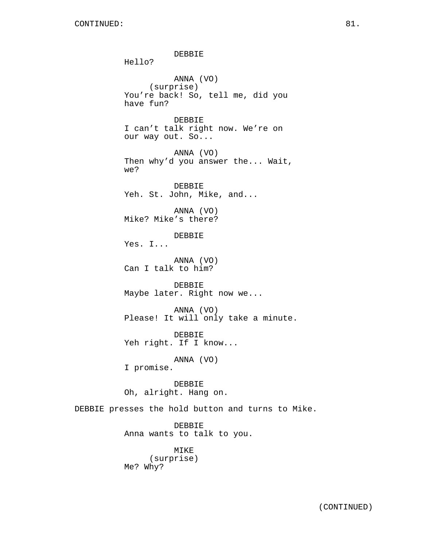DEBBIE Hello? ANNA (VO) (surprise) You're back! So, tell me, did you have fun? DEBBIE I can't talk right now. We're on our way out. So... ANNA (VO) Then why'd you answer the... Wait, we? DEBBIE Yeh. St. John, Mike, and... ANNA (VO) Mike? Mike's there? DEBBIE Yes. I... ANNA (VO) Can I talk to him? DEBBIE Maybe later. Right now we... ANNA (VO) Please! It will only take a minute. DEBBIE Yeh right. If I know... ANNA (VO) I promise. DEBBIE Oh, alright. Hang on. DEBBIE presses the hold button and turns to Mike. DEBBIE Anna wants to talk to you. MIKE (surprise)

Me? Why?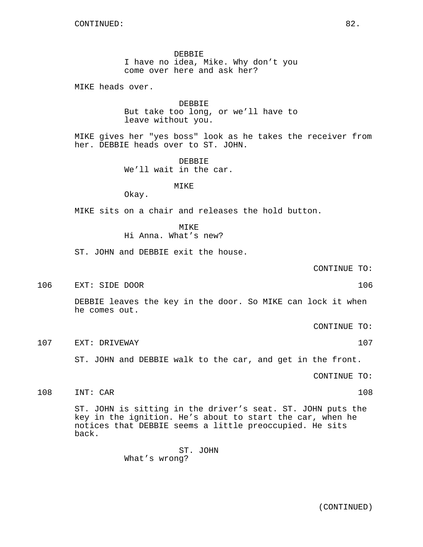DEBBIE I have no idea, Mike. Why don't you come over here and ask her?

MIKE heads over.

DEBBIE But take too long, or we'll have to leave without you.

MIKE gives her "yes boss" look as he takes the receiver from her. DEBBIE heads over to ST. JOHN.

> DEBBIE We'll wait in the car.

# MIKE

Okay.

MIKE sits on a chair and releases the hold button.

MIKE Hi Anna. What's new?

ST. JOHN and DEBBIE exit the house.

CONTINUE TO:

106 EXT: SIDE DOOR 106 2008

DEBBIE leaves the key in the door. So MIKE can lock it when he comes out.

CONTINUE TO:

107 EXT: DRIVEWAY 107

ST. JOHN and DEBBIE walk to the car, and get in the front.

CONTINUE TO:

108 INT: CAR 108

ST. JOHN is sitting in the driver's seat. ST. JOHN puts the key in the ignition. He's about to start the car, when he notices that DEBBIE seems a little preoccupied. He sits back.

ST. JOHN

What's wrong?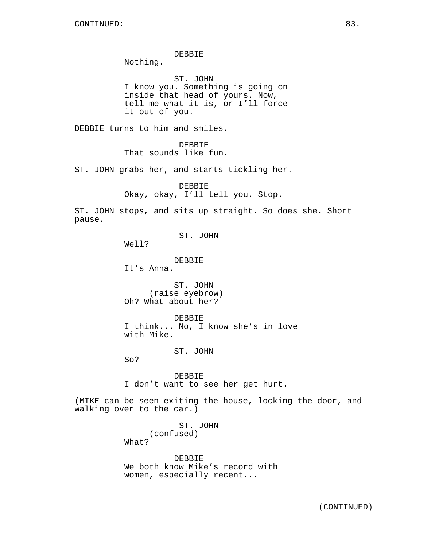#### DEBBIE

Nothing.

ST. JOHN I know you. Something is going on inside that head of yours. Now, tell me what it is, or I'll force it out of you.

DEBBIE turns to him and smiles.

DEBBIE That sounds like fun.

ST. JOHN grabs her, and starts tickling her.

DEBBIE Okay, okay, I'll tell you. Stop.

ST. JOHN stops, and sits up straight. So does she. Short pause.

ST. JOHN

Well?

DEBBIE

It's Anna.

ST. JOHN (raise eyebrow) Oh? What about her?

DEBBIE I think... No, I know she's in love with Mike.

ST. JOHN

So?

DEBBIE I don't want to see her get hurt.

(MIKE can be seen exiting the house, locking the door, and walking over to the car.)

> ST. JOHN (confused) What?

DEBBIE We both know Mike's record with women, especially recent...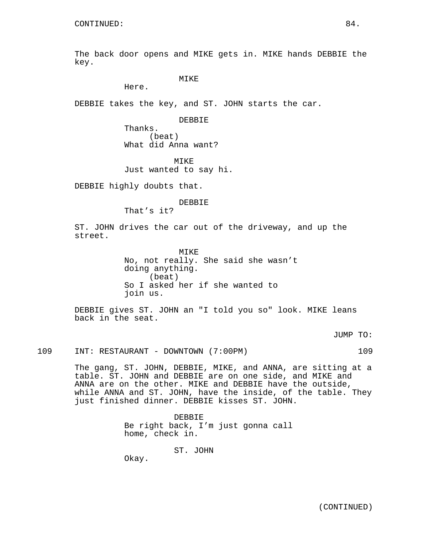The back door opens and MIKE gets in. MIKE hands DEBBIE the key.

MIKE

Here.

DEBBIE takes the key, and ST. JOHN starts the car.

DEBBIE

Thanks. (beat) What did Anna want?

MIKE Just wanted to say hi.

DEBBIE highly doubts that.

DEBBIE

That's it?

ST. JOHN drives the car out of the driveway, and up the street.

> **MTKE** No, not really. She said she wasn't doing anything. (beat) So I asked her if she wanted to join us.

DEBBIE gives ST. JOHN an "I told you so" look. MIKE leans back in the seat.

JUMP TO:

109 INT: RESTAURANT - DOWNTOWN (7:00PM) 109

The gang, ST. JOHN, DEBBIE, MIKE, and ANNA, are sitting at a table. ST. JOHN and DEBBIE are on one side, and MIKE and ANNA are on the other. MIKE and DEBBIE have the outside, while ANNA and ST. JOHN, have the inside, of the table. They just finished dinner. DEBBIE kisses ST. JOHN.

> DEBBIE Be right back, I'm just gonna call home, check in.

> > ST. JOHN

Okay.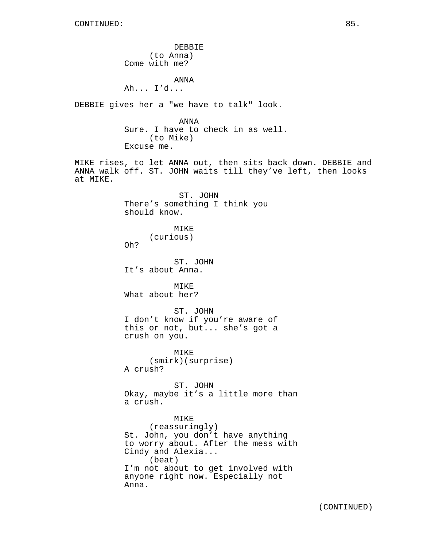DEBBIE (to Anna) Come with me? ANNA Ah... I'd... DEBBIE gives her a "we have to talk" look. ANNA Sure. I have to check in as well. (to Mike) Excuse me. MIKE rises, to let ANNA out, then sits back down. DEBBIE and ANNA walk off. ST. JOHN waits till they've left, then looks at MIKE. ST. JOHN There's something I think you should know. MIKE (curious) Oh? ST. JOHN It's about Anna. MTKE<sup>®</sup> What about her? ST. JOHN I don't know if you're aware of this or not, but... she's got a crush on you. MIKE (smirk)(surprise) A crush? ST. JOHN Okay, maybe it's a little more than a crush. MIKE (reassuringly) St. John, you don't have anything to worry about. After the mess with Cindy and Alexia... (beat) I'm not about to get involved with

anyone right now. Especially not

Anna.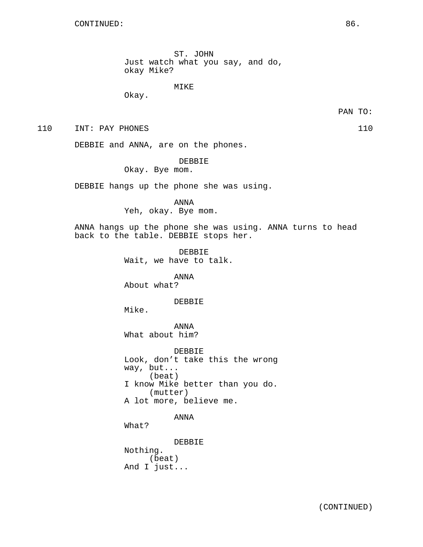ST. JOHN Just watch what you say, and do, okay Mike?

#### MIKE

Okay.

PAN TO:

110 INT: PAY PHONES 110

DEBBIE and ANNA, are on the phones.

DEBBIE

Okay. Bye mom.

DEBBIE hangs up the phone she was using.

ANNA

Yeh, okay. Bye mom.

ANNA hangs up the phone she was using. ANNA turns to head back to the table. DEBBIE stops her.

> DEBBIE Wait, we have to talk.

ANNA About what?

DEBBIE

Mike.

ANNA What about him?

DEBBIE Look, don't take this the wrong way, but... (beat) I know Mike better than you do. (mutter) A lot more, believe me.

ANNA

What?

DEBBIE Nothing. (beat) And I just...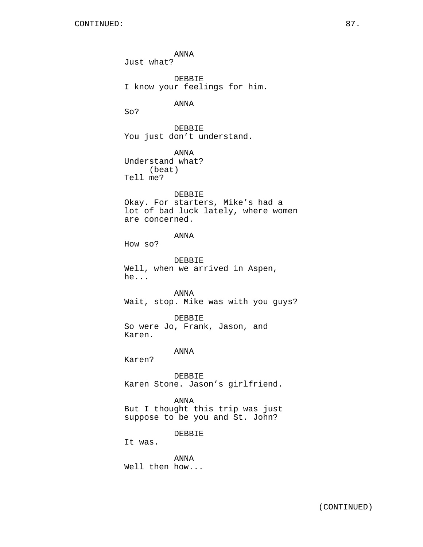ANNA Just what? DEBBIE I know your feelings for him. ANNA So? DEBBIE You just don't understand. ANNA Understand what? (beat) Tell me? DEBBIE Okay. For starters, Mike's had a lot of bad luck lately, where women are concerned. ANNA How so? DEBBIE Well, when we arrived in Aspen, he... ANNA Wait, stop. Mike was with you guys? DEBBIE So were Jo, Frank, Jason, and Karen. ANNA Karen? DEBBIE Karen Stone. Jason's girlfriend. ANNA But I thought this trip was just suppose to be you and St. John? DEBBIE It was.

ANNA Well then how...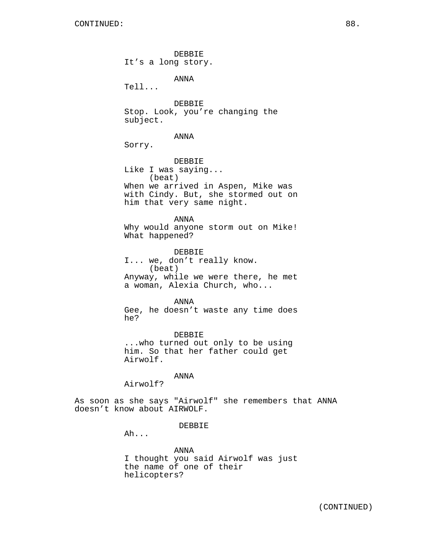DEBBIE It's a long story. ANNA Tell... DEBBIE Stop. Look, you're changing the subject. ANNA Sorry. DEBBIE Like I was saying... (beat) When we arrived in Aspen, Mike was with Cindy. But, she stormed out on him that very same night. ANNA Why would anyone storm out on Mike! What happened? DEBBIE I... we, don't really know. (beat) Anyway, while we were there, he met a woman, Alexia Church, who... ANNA Gee, he doesn't waste any time does he? DEBBIE ...who turned out only to be using him. So that her father could get

ANNA

Airwolf?

Airwolf.

As soon as she says "Airwolf" she remembers that ANNA doesn't know about AIRWOLF.

DEBBIE

Ah...

ANNA I thought you said Airwolf was just the name of one of their helicopters?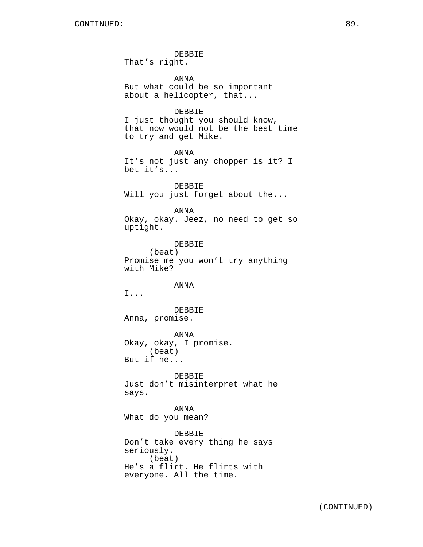DEBBIE

That's right.

ANNA But what could be so important about a helicopter, that...

# DEBBIE

I just thought you should know, that now would not be the best time to try and get Mike.

ANNA It's not just any chopper is it? I bet it's...

DEBBIE Will you just forget about the...

ANNA

Okay, okay. Jeez, no need to get so uptight.

DEBBIE (beat) Promise me you won't try anything with Mike?

ANNA

I...

DEBBIE Anna, promise.

ANNA Okay, okay, I promise. (beat) But if he...

DEBBIE Just don't misinterpret what he says.

ANNA What do you mean?

DEBBIE Don't take every thing he says seriously. (beat) He's a flirt. He flirts with everyone. All the time.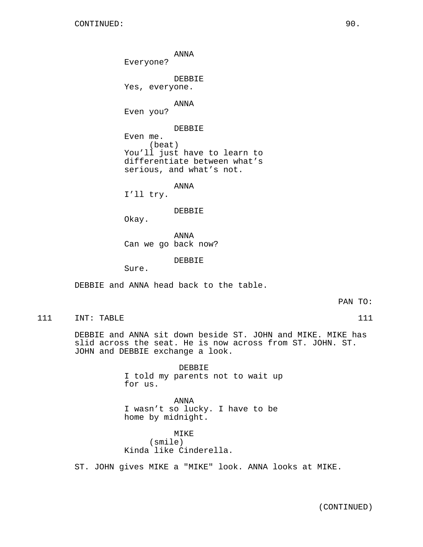Everyone? DEBBIE Yes, everyone. ANNA Even you? DEBBIE Even me. (beat) You'll just have to learn to differentiate between what's serious, and what's not.

ANNA

ANNA I'll try.

DEBBIE

Okay.

ANNA Can we go back now?

DEBBIE

Sure.

DEBBIE and ANNA head back to the table.

PAN TO:

111 INT: TABLE 111 111

DEBBIE and ANNA sit down beside ST. JOHN and MIKE. MIKE has slid across the seat. He is now across from ST. JOHN. ST. JOHN and DEBBIE exchange a look.

> DEBBIE I told my parents not to wait up for us.

ANNA I wasn't so lucky. I have to be home by midnight.

MIKE (smile) Kinda like Cinderella.

ST. JOHN gives MIKE a "MIKE" look. ANNA looks at MIKE.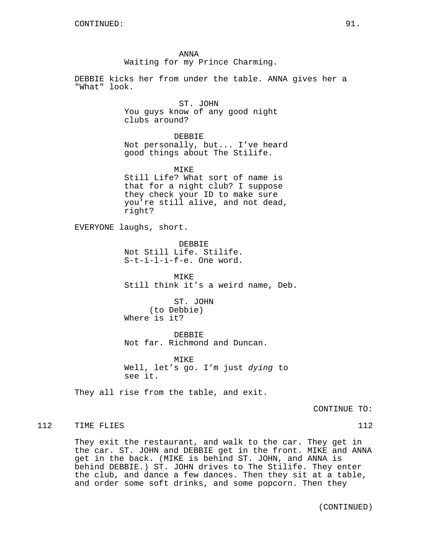ANNA Waiting for my Prince Charming. DEBBIE kicks her from under the table. ANNA gives her a "What" look. ST. JOHN You guys know of any good night clubs around? DEBBIE Not personally, but... I've heard good things about The Stilife. MIKE Still Life? What sort of name is that for a night club? I suppose they check your ID to make sure you're still alive, and not dead, right? EVERYONE laughs, short. DEBBIE Not Still Life. Stilife. S-t-i-l-i-f-e. One word. MIKE Still think it's a weird name, Deb. ST. JOHN (to Debbie) Where is it? DEBBIE Not far. Richmond and Duncan. MTKF. Well, let's go. I'm just dying to see it. They all rise from the table, and exit. 112 TIME FLIES 112

> They exit the restaurant, and walk to the car. They get in the car. ST. JOHN and DEBBIE get in the front. MIKE and ANNA get in the back. (MIKE is behind ST. JOHN, and ANNA is behind DEBBIE.) ST. JOHN drives to The Stilife. They enter the club, and dance a few dances. Then they sit at a table, and order some soft drinks, and some popcorn. Then they

> > (CONTINUED)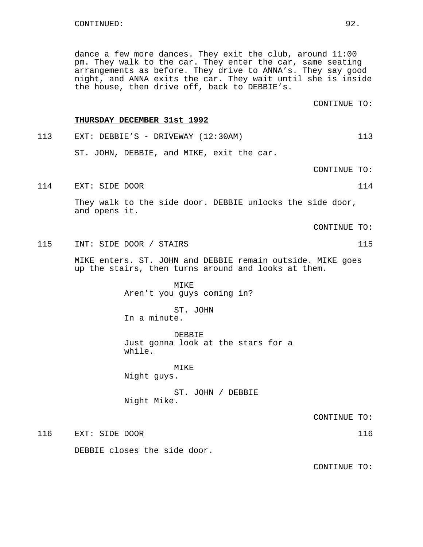dance a few more dances. They exit the club, around 11:00 pm. They walk to the car. They enter the car, same seating arrangements as before. They drive to ANNA's. They say good night, and ANNA exits the car. They wait until she is inside the house, then drive off, back to DEBBIE's.

CONTINUE TO:

#### **THURSDAY DECEMBER 31st 1992**

113 EXT: DEBBIE'S - DRIVEWAY (12:30AM) 113 ST. JOHN, DEBBIE, and MIKE, exit the car.

CONTINUE TO:

114 EXT: SIDE DOOR 114

They walk to the side door. DEBBIE unlocks the side door, and opens it.

CONTINUE TO:

115 INT: SIDE DOOR / STAIRS 115

MIKE enters. ST. JOHN and DEBBIE remain outside. MIKE goes up the stairs, then turns around and looks at them.

> MIKE Aren't you guys coming in?

ST. JOHN In a minute.

DEBBIE Just gonna look at the stars for a while.

MIKE Night guys.

ST. JOHN / DEBBIE Night Mike.

CONTINUE TO:

116 EXT: SIDE DOOR 116

DEBBIE closes the side door.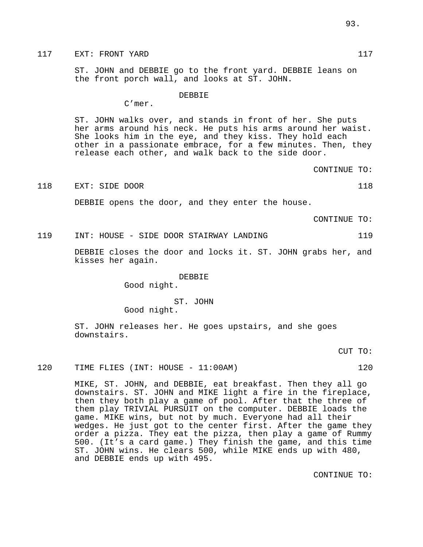# 117 EXT: FRONT YARD 117

ST. JOHN and DEBBIE go to the front yard. DEBBIE leans on the front porch wall, and looks at ST. JOHN.

#### DEBBIE

C'mer.

ST. JOHN walks over, and stands in front of her. She puts her arms around his neck. He puts his arms around her waist. She looks him in the eye, and they kiss. They hold each other in a passionate embrace, for a few minutes. Then, they release each other, and walk back to the side door.

CONTINUE TO:

#### 118 EXT: SIDE DOOR 118 2008

DEBBIE opens the door, and they enter the house.

CONTINUE TO:

### 119 INT: HOUSE - SIDE DOOR STAIRWAY LANDING 119

DEBBIE closes the door and locks it. ST. JOHN grabs her, and kisses her again.

# DEBBIE

Good night.

# ST. JOHN

Good night.

ST. JOHN releases her. He goes upstairs, and she goes downstairs.

CUT TO:

#### 120 TIME FLIES (INT: HOUSE - 11:00AM) 120

MIKE, ST. JOHN, and DEBBIE, eat breakfast. Then they all go downstairs. ST. JOHN and MIKE light a fire in the fireplace, then they both play a game of pool. After that the three of them play TRIVIAL PURSUIT on the computer. DEBBIE loads the game. MIKE wins, but not by much. Everyone had all their wedges. He just got to the center first. After the game they order a pizza. They eat the pizza, then play a game of Rummy 500. (It's a card game.) They finish the game, and this time ST. JOHN wins. He clears 500, while MIKE ends up with 480, and DEBBIE ends up with 495.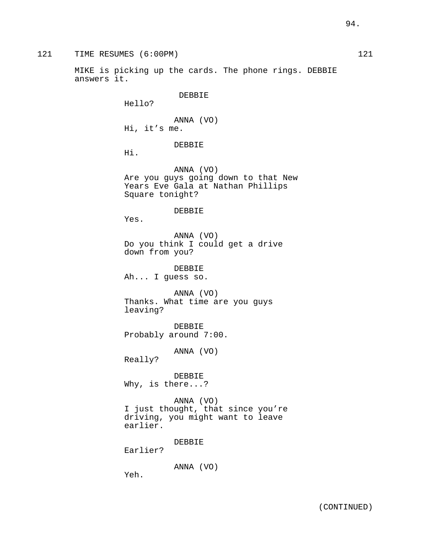MIKE is picking up the cards. The phone rings. DEBBIE answers it.

DEBBIE

Hello?

ANNA (VO) Hi, it's me.

DEBBIE

Hi.

ANNA (VO) Are you guys going down to that New Years Eve Gala at Nathan Phillips Square tonight?

DEBBIE

Yes.

ANNA (VO) Do you think I could get a drive down from you?

DEBBIE Ah... I guess so.

ANNA (VO) Thanks. What time are you guys leaving?

DEBBIE Probably around 7:00.

ANNA (VO)

Really?

DEBBIE Why, is there...?

ANNA (VO) I just thought, that since you're driving, you might want to leave earlier.

DEBBIE

Earlier?

ANNA (VO)

Yeh.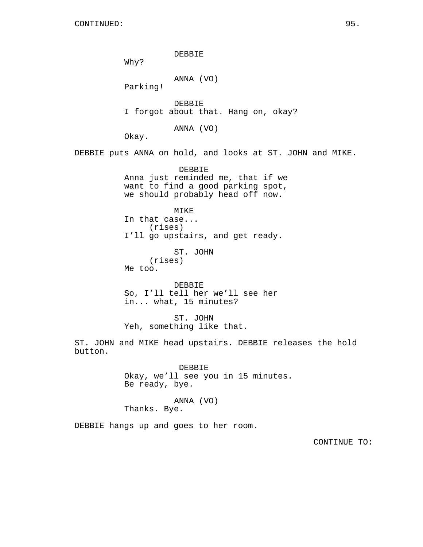DEBBIE Why? ANNA (VO) Parking! DEBBIE I forgot about that. Hang on, okay? ANNA (VO) Okay. DEBBIE puts ANNA on hold, and looks at ST. JOHN and MIKE. DEBBIE Anna just reminded me, that if we want to find a good parking spot, we should probably head off now. MIKE In that case... (rises) I'll go upstairs, and get ready. ST. JOHN (rises) Me too. DEBBIE So, I'll tell her we'll see her in... what, 15 minutes? ST. JOHN Yeh, something like that. ST. JOHN and MIKE head upstairs. DEBBIE releases the hold button. DEBBIE Okay, we'll see you in 15 minutes. Be ready, bye. ANNA (VO) Thanks. Bye. DEBBIE hangs up and goes to her room.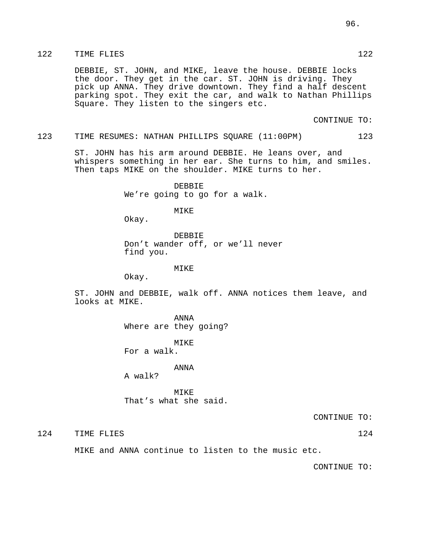# 122 TIME FLIES 122

DEBBIE, ST. JOHN, and MIKE, leave the house. DEBBIE locks the door. They get in the car. ST. JOHN is driving. They pick up ANNA. They drive downtown. They find a half descent parking spot. They exit the car, and walk to Nathan Phillips Square. They listen to the singers etc.

CONTINUE TO:

#### 123 TIME RESUMES: NATHAN PHILLIPS SQUARE (11:00PM) 123

ST. JOHN has his arm around DEBBIE. He leans over, and whispers something in her ear. She turns to him, and smiles. Then taps MIKE on the shoulder. MIKE turns to her.

> DEBBIE We're going to go for a walk.

> > MIKE

Okay.

DEBBIE Don't wander off, or we'll never find you.

#### MIKE

Okay.

ST. JOHN and DEBBIE, walk off. ANNA notices them leave, and looks at MIKE.

> ANNA Where are they going?

MIKE For a walk.

#### ANNA

A walk?

**MTKE** That's what she said.

CONTINUE TO:

124 TIME FLIES 124 124

MIKE and ANNA continue to listen to the music etc.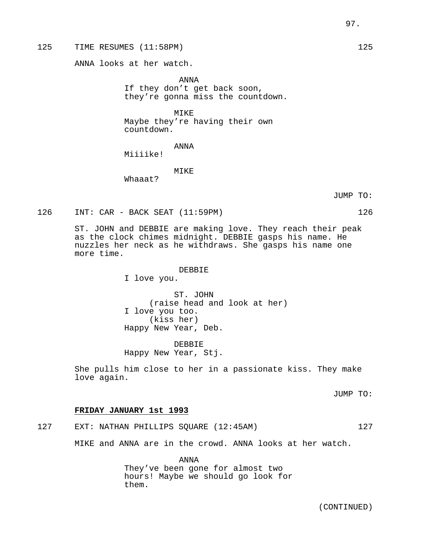ANNA looks at her watch.

ANNA If they don't get back soon, they're gonna miss the countdown.

MIKE Maybe they're having their own countdown.

ANNA

Miiiike!

MIKE

Whaaat?

JUMP TO:

126 INT: CAR - BACK SEAT (11:59PM) 126

ST. JOHN and DEBBIE are making love. They reach their peak as the clock chimes midnight. DEBBIE gasps his name. He nuzzles her neck as he withdraws. She gasps his name one more time.

#### DEBBIE

I love you.

ST. JOHN (raise head and look at her) I love you too. (kiss her) Happy New Year, Deb.

DEBBIE Happy New Year, Stj.

She pulls him close to her in a passionate kiss. They make love again.

JUMP TO:

# **FRIDAY JANUARY 1st 1993**

127 EXT: NATHAN PHILLIPS SQUARE (12:45AM) 127

MIKE and ANNA are in the crowd. ANNA looks at her watch.

ANNA They've been gone for almost two hours! Maybe we should go look for them.

(CONTINUED)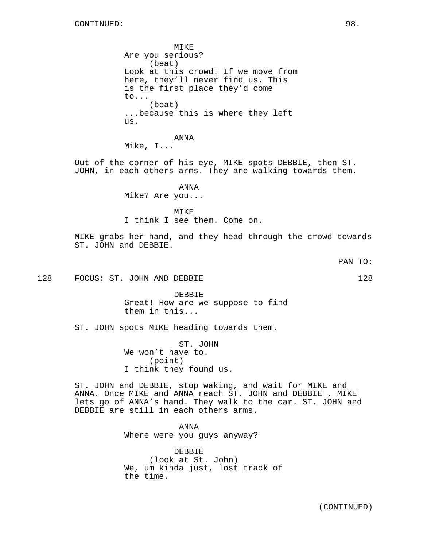MIKE Are you serious? (beat) Look at this crowd! If we move from here, they'll never find us. This is the first place they'd come to... (beat) ...because this is where they left us.

ANNA

Mike, I...

Out of the corner of his eye, MIKE spots DEBBIE, then ST. JOHN, in each others arms. They are walking towards them.

ANNA

Mike? Are you...

MIKE

I think I see them. Come on.

MIKE grabs her hand, and they head through the crowd towards ST. JOHN and DEBBIE.

128 FOCUS: ST. JOHN AND DEBBIE 128 128

DEBBIE Great! How are we suppose to find them in this...

ST. JOHN spots MIKE heading towards them.

ST. JOHN We won't have to. (point) I think they found us.

ST. JOHN and DEBBIE, stop waking, and wait for MIKE and ANNA. Once MIKE and ANNA reach ST. JOHN and DEBBIE , MIKE lets go of ANNA's hand. They walk to the car. ST. JOHN and DEBBIE are still in each others arms.

> ANNA Where were you guys anyway?

DEBBIE (look at St. John) We, um kinda just, lost track of the time.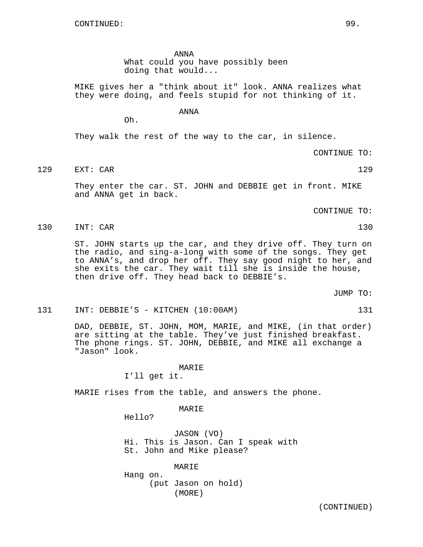Oh.

ANNA What could you have possibly been doing that would...

MIKE gives her a "think about it" look. ANNA realizes what they were doing, and feels stupid for not thinking of it.

ANNA

They walk the rest of the way to the car, in silence.

CONTINUE TO:

129 EXT: CAR 129

They enter the car. ST. JOHN and DEBBIE get in front. MIKE and ANNA get in back.

CONTINUE TO:

130 INT: CAR 130

ST. JOHN starts up the car, and they drive off. They turn on the radio, and sing-a-long with some of the songs. They get to ANNA's, and drop her off. They say good night to her, and she exits the car. They wait till she is inside the house, then drive off. They head back to DEBBIE's.

JUMP TO:

## 131 INT: DEBBIE'S - KITCHEN (10:00AM) 131

DAD, DEBBIE, ST. JOHN, MOM, MARIE, and MIKE, (in that order) are sitting at the table. They've just finished breakfast. The phone rings. ST. JOHN, DEBBIE, and MIKE all exchange a "Jason" look.

#### MARIE

I'll get it.

MARIE rises from the table, and answers the phone.

MARIE

Hello?

JASON (VO) Hi. This is Jason. Can I speak with St. John and Mike please?

MARIE Hang on. (put Jason on hold)

(MORE)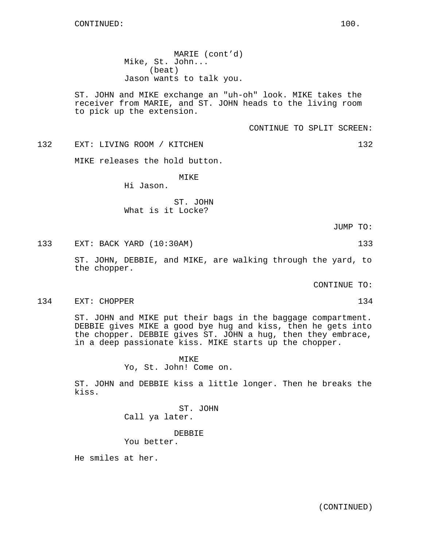MARIE (cont'd) Mike, St. John... (beat) Jason wants to talk you.

ST. JOHN and MIKE exchange an "uh-oh" look. MIKE takes the receiver from MARIE, and ST. JOHN heads to the living room to pick up the extension.

CONTINUE TO SPLIT SCREEN:

132 EXT: LIVING ROOM / KITCHEN 132

MIKE releases the hold button.

MIKE

Hi Jason.

ST. JOHN What is it Locke?

JUMP TO:

133 EXT: BACK YARD (10:30AM) 133

ST. JOHN, DEBBIE, and MIKE, are walking through the yard, to the chopper.

CONTINUE TO:

134 EXT: CHOPPER 134 EXT: 134

ST. JOHN and MIKE put their bags in the baggage compartment. DEBBIE gives MIKE a good bye hug and kiss, then he gets into the chopper. DEBBIE gives ST. JOHN a hug, then they embrace, in a deep passionate kiss. MIKE starts up the chopper.

> MIKE Yo, St. John! Come on.

ST. JOHN and DEBBIE kiss a little longer. Then he breaks the kiss.

> ST. JOHN Call ya later.

> > DEBBIE

You better.

He smiles at her.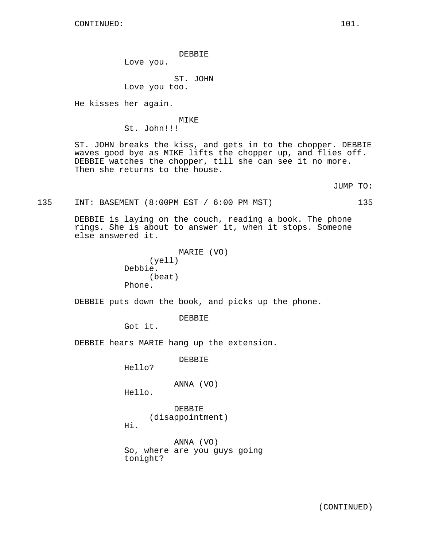DEBBIE

Love you.

ST. JOHN

Love you too.

He kisses her again.

MIKE St. John!!!

ST. JOHN breaks the kiss, and gets in to the chopper. DEBBIE waves good bye as MIKE lifts the chopper up, and flies off. DEBBIE watches the chopper, till she can see it no more. Then she returns to the house.

JUMP TO:

135 INT: BASEMENT (8:00PM EST / 6:00 PM MST) 135

DEBBIE is laying on the couch, reading a book. The phone rings. She is about to answer it, when it stops. Someone else answered it.

```
MARIE (VO)
     (yell)
Debbie.
     (beat)
Phone.
```
DEBBIE puts down the book, and picks up the phone.

DEBBIE

Got it.

DEBBIE hears MARIE hang up the extension.

DEBBIE

Hello?

ANNA (VO)

Hello.

DEBBIE (disappointment)

Hi.

ANNA (VO) So, where are you guys going tonight?

(CONTINUED)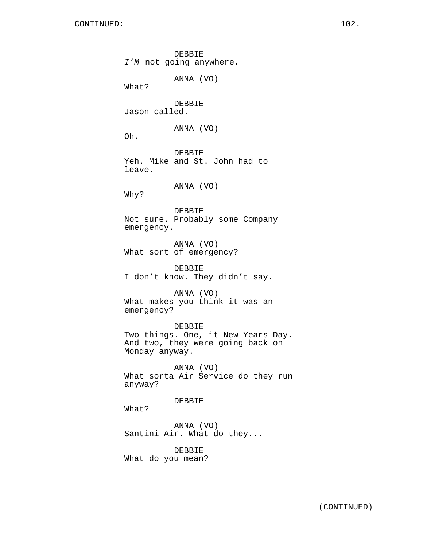DEBBIE I'M not going anywhere. ANNA (VO) What? DEBBIE Jason called. ANNA (VO) Oh. DEBBIE Yeh. Mike and St. John had to leave. ANNA (VO) Why? DEBBIE Not sure. Probably some Company emergency. ANNA (VO) What sort of emergency? DEBBIE I don't know. They didn't say. ANNA (VO) What makes you think it was an emergency? DEBBIE Two things. One, it New Years Day. And two, they were going back on Monday anyway. ANNA (VO) What sorta Air Service do they run anyway? DEBBIE What? ANNA (VO) Santini Air. What do they... DEBBIE What do you mean?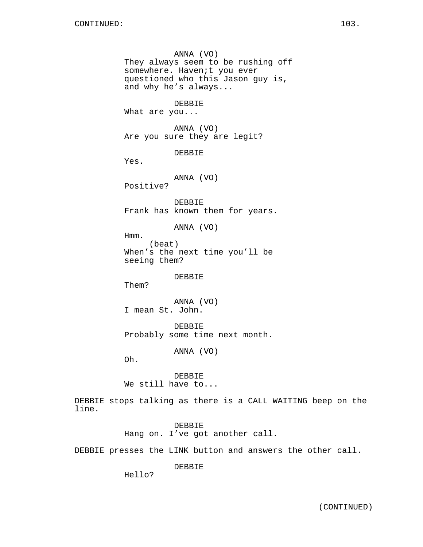ANNA (VO) They always seem to be rushing off somewhere. Haven;t you ever questioned who this Jason guy is, and why he's always... DEBBIE What are you... ANNA (VO) Are you sure they are legit? DEBBIE Yes. ANNA (VO) Positive? DEBBIE Frank has known them for years. ANNA (VO) Hmm. (beat) When's the next time you'll be seeing them? DEBBIE Them? ANNA (VO) I mean St. John. DEBBIE Probably some time next month. ANNA (VO) Oh. DEBBIE We still have to...

DEBBIE stops talking as there is a CALL WAITING beep on the line.

> DEBBIE Hang on. I've got another call.

DEBBIE presses the LINK button and answers the other call.

DEBBIE

Hello?

(CONTINUED)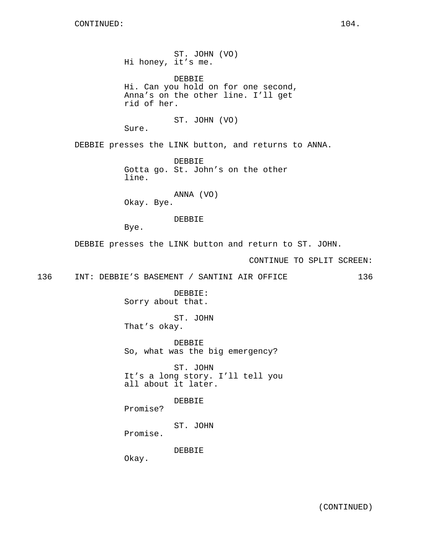ST. JOHN (VO) Hi honey, it's me. DEBBIE Hi. Can you hold on for one second, Anna's on the other line. I'll get rid of her. ST. JOHN (VO) Sure. DEBBIE presses the LINK button, and returns to ANNA. DEBBIE Gotta go. St. John's on the other line. ANNA (VO) Okay. Bye. DEBBIE Bye. DEBBIE presses the LINK button and return to ST. JOHN. CONTINUE TO SPLIT SCREEN: 136 INT: DEBBIE'S BASEMENT / SANTINI AIR OFFICE 136 DEBBIE: Sorry about that. ST. JOHN That's okay. DEBBIE So, what was the big emergency? ST. JOHN It's a long story. I'll tell you all about it later. DEBBIE Promise? ST. JOHN

Promise.

DEBBIE

Okay.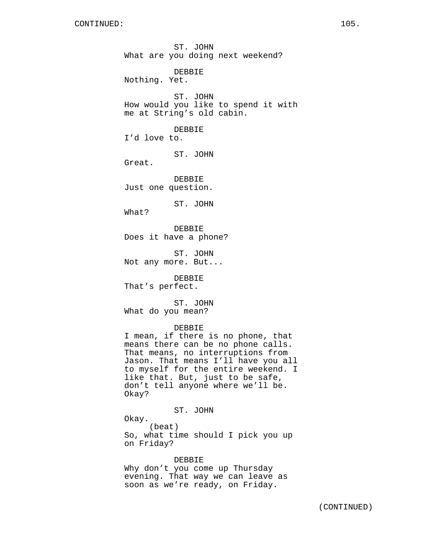ST. JOHN What are you doing next weekend? DEBBIE Nothing. Yet. ST. JOHN How would you like to spend it with me at String's old cabin. DEBBIE I'd love to. ST. JOHN Great. DEBBIE Just one question. ST. JOHN What? DEBBIE Does it have a phone? ST. JOHN Not any more. But... DEBBIE That's perfect. ST. JOHN What do you mean? DEBBIE I mean, if there is no phone, that means there can be no phone calls. That means, no interruptions from Jason. That means I'll have you all to myself for the entire weekend. I like that. But, just to be safe, don't tell anyone where we'll be.

ST. JOHN

Okay?

Okay. (beat) So, what time should I pick you up on Friday?

#### DEBBIE

Why don't you come up Thursday evening. That way we can leave as soon as we're ready, on Friday.